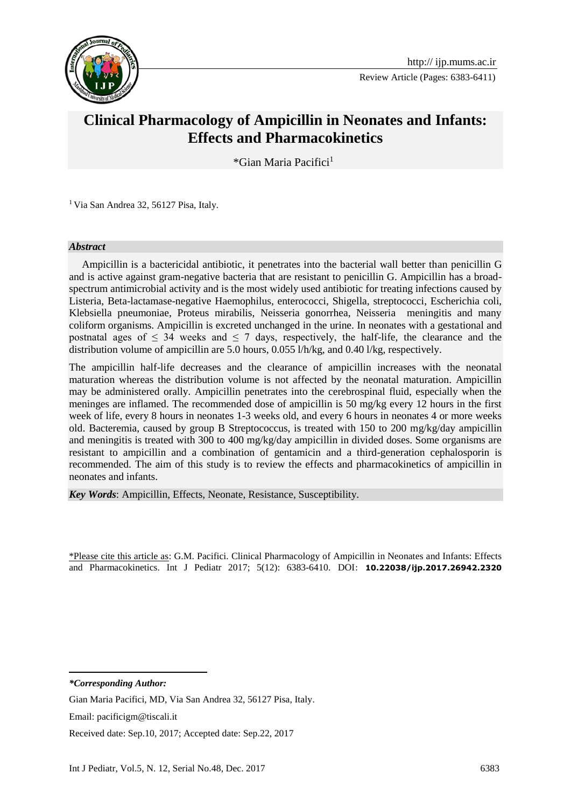

Review Article (Pages: 6383-6411)

# **Clinical Pharmacology of Ampicillin in Neonates and Infants: Effects and Pharmacokinetics**

\*Gian Maria Pacifici<sup>1</sup>**<sup>1</sup>**

<sup>1</sup> Via San Andrea 32, 56127 Pisa, Italy.

#### *Abstract*

 Ampicillin is a bactericidal antibiotic, it penetrates into the bacterial wall better than penicillin G and is active against gram-negative bacteria that are resistant to penicillin G. Ampicillin has a broadspectrum antimicrobial activity and is the most widely used antibiotic for treating infections caused by Listeria, Beta-lactamase-negative Haemophilus, enterococci, Shigella, streptococci, Escherichia coli, Klebsiella pneumoniae, Proteus mirabilis, Neisseria gonorrhea, Neisseria meningitis and many coliform organisms. Ampicillin is excreted unchanged in the urine. In neonates with a gestational and postnatal ages of  $\leq$  34 weeks and  $\leq$  7 days, respectively, the half-life, the clearance and the distribution volume of ampicillin are 5.0 hours, 0.055 l/h/kg, and 0.40 l/kg, respectively.

The ampicillin half-life decreases and the clearance of ampicillin increases with the neonatal maturation whereas the distribution volume is not affected by the neonatal maturation. Ampicillin may be administered orally. Ampicillin penetrates into the cerebrospinal fluid, especially when the meninges are inflamed. The recommended dose of ampicillin is 50 mg/kg every 12 hours in the first week of life, every 8 hours in neonates 1-3 weeks old, and every 6 hours in neonates 4 or more weeks old. Bacteremia, caused by group B Streptococcus, is treated with 150 to 200 mg/kg/day ampicillin and meningitis is treated with 300 to 400 mg/kg/day ampicillin in divided doses. Some organisms are resistant to ampicillin and a combination of gentamicin and a third-generation cephalosporin is recommended. The aim of this study is to review the effects and pharmacokinetics of ampicillin in neonates and infants.

*Key Words*: Ampicillin, Effects, Neonate, Resistance, Susceptibility.

\*Please cite this article as: G.M. Pacifici. Clinical Pharmacology of Ampicillin in Neonates and Infants: Effects and Pharmacokinetics. Int J Pediatr 2017; 5(12): 6383-6410. DOI: **10.22038/ijp.2017.26942.2320**

*\*Corresponding Author:*

**.** 

Gian Maria Pacifici, MD, Via San Andrea 32, 56127 Pisa, Italy.

Email: pacificigm@tiscali.it

Received date: Sep.10, 2017; Accepted date: Sep.22, 2017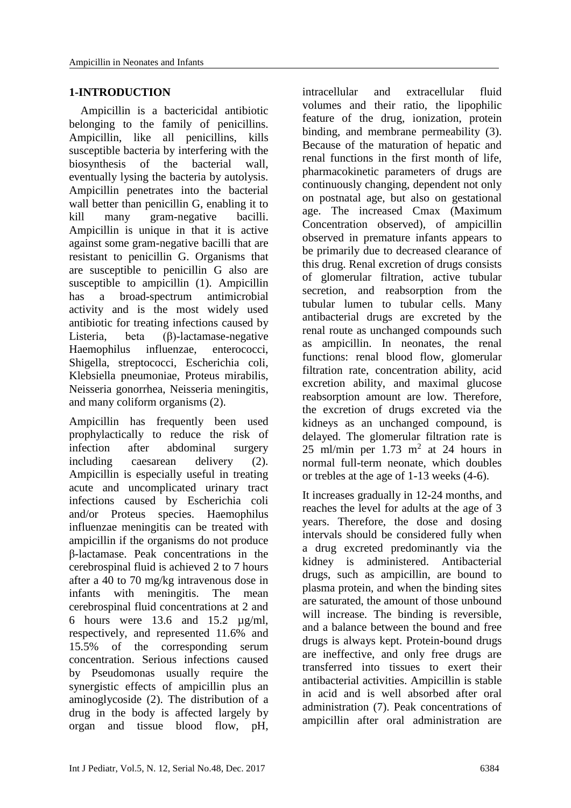#### **1-INTRODUCTION**

 Ampicillin is a bactericidal antibiotic belonging to the family of penicillins. Ampicillin, like all penicillins, kills susceptible bacteria by interfering with the biosynthesis of the bacterial wall, eventually lysing the bacteria by autolysis. Ampicillin penetrates into the bacterial wall better than penicillin G, enabling it to kill many gram-negative bacilli. Ampicillin is unique in that it is active against some gram-negative bacilli that are resistant to penicillin G. Organisms that are susceptible to penicillin G also are susceptible to ampicillin (1). Ampicillin has a broad-spectrum antimicrobial activity and is the most widely used antibiotic for treating infections caused by Listeria, beta (β)-lactamase-negative Haemophilus influenzae, enterococci, Shigella, streptococci, Escherichia coli, Klebsiella pneumoniae, Proteus mirabilis, Neisseria gonorrhea, Neisseria meningitis, and many coliform organisms (2).

Ampicillin has frequently been used prophylactically to reduce the risk of infection after abdominal surgery including caesarean delivery (2). Ampicillin is especially useful in treating acute and uncomplicated urinary tract infections caused by Escherichia coli and/or Proteus species. Haemophilus influenzae meningitis can be treated with ampicillin if the organisms do not produce β-lactamase. Peak concentrations in the cerebrospinal fluid is achieved 2 to 7 hours after a 40 to 70 mg/kg intravenous dose in infants with meningitis. The mean cerebrospinal fluid concentrations at 2 and 6 hours were 13.6 and 15.2 µg/ml, respectively, and represented 11.6% and 15.5% of the corresponding serum concentration. Serious infections caused by Pseudomonas usually require the synergistic effects of ampicillin plus an aminoglycoside (2). The distribution of a drug in the body is affected largely by organ and tissue blood flow, pH,

intracellular and extracellular fluid volumes and their ratio, the lipophilic feature of the drug, ionization, protein binding, and membrane permeability (3). Because of the maturation of hepatic and renal functions in the first month of life, pharmacokinetic parameters of drugs are continuously changing, dependent not only on postnatal age, but also on gestational age. The increased Cmax (Maximum Concentration observed), of ampicillin observed in premature infants appears to be primarily due to decreased clearance of this drug. Renal excretion of drugs consists of glomerular filtration, active tubular secretion, and reabsorption from the tubular lumen to tubular cells. Many antibacterial drugs are excreted by the renal route as unchanged compounds such as ampicillin. In neonates, the renal functions: renal blood flow, glomerular filtration rate, concentration ability, acid excretion ability, and maximal glucose reabsorption amount are low. Therefore, the excretion of drugs excreted via the kidneys as an unchanged compound, is delayed. The glomerular filtration rate is 25 ml/min per  $1.73$  m<sup>2</sup> at 24 hours in normal full-term neonate, which doubles or trebles at the age of 1-13 weeks (4-6).

It increases gradually in 12-24 months, and reaches the level for adults at the age of 3 years. Therefore, the dose and dosing intervals should be considered fully when a drug excreted predominantly via the kidney is administered. Antibacterial drugs, such as ampicillin, are bound to plasma protein, and when the binding sites are saturated, the amount of those unbound will increase. The binding is reversible. and a balance between the bound and free drugs is always kept. Protein-bound drugs are ineffective, and only free drugs are transferred into tissues to exert their antibacterial activities. Ampicillin is stable in acid and is well absorbed after oral administration (7). Peak concentrations of ampicillin after oral administration are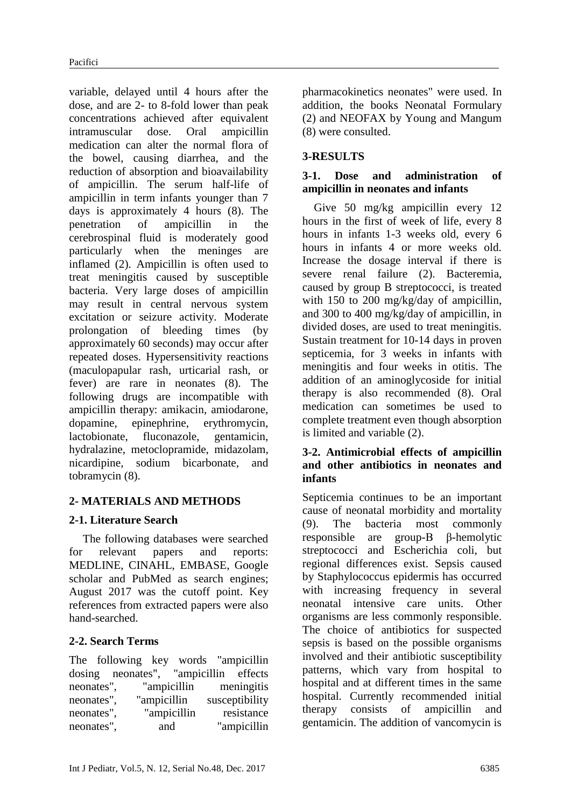variable, delayed until 4 hours after the dose, and are 2- to 8-fold lower than peak concentrations achieved after equivalent intramuscular dose. Oral ampicillin medication can alter the normal flora of the bowel, causing diarrhea, and the reduction of absorption and bioavailability of ampicillin. The serum half-life of ampicillin in term infants younger than 7 days is approximately 4 hours (8). The penetration of ampicillin in the cerebrospinal fluid is moderately good particularly when the meninges are inflamed (2). Ampicillin is often used to treat meningitis caused by susceptible bacteria. Very large doses of ampicillin may result in central nervous system excitation or seizure activity. Moderate prolongation of bleeding times (by approximately 60 seconds) may occur after repeated doses. Hypersensitivity reactions (maculopapular rash, urticarial rash, or fever) are rare in neonates (8). The following drugs are incompatible with ampicillin therapy: amikacin, amiodarone, dopamine, epinephrine, erythromycin, lactobionate, fluconazole, gentamicin, hydralazine, metoclopramide, midazolam, nicardipine, sodium bicarbonate, and tobramycin (8).

## **2- MATERIALS AND METHODS**

## **2-1. Literature Search**

The following databases were searched for relevant papers and reports: MEDLINE, CINAHL, EMBASE, Google scholar and PubMed as search engines; August 2017 was the cutoff point. Key references from extracted papers were also hand-searched.

## **2-2. Search Terms**

The following key words "ampicillin dosing neonates", "ampicillin effects neonates", "ampicillin meningitis neonates", "ampicillin susceptibility neonates", "ampicillin resistance neonates", and "ampicillin pharmacokinetics neonates" were used. In addition, the books Neonatal Formulary (2) and NEOFAX by Young and Mangum (8) were consulted.

# **3-RESULTS**

## **3-1. Dose and administration of ampicillin in neonates and infants**

 Give 50 mg/kg ampicillin every 12 hours in the first of week of life, every 8 hours in infants 1-3 weeks old, every 6 hours in infants 4 or more weeks old. Increase the dosage interval if there is severe renal failure (2). Bacteremia, caused by group B streptococci, is treated with 150 to 200 mg/kg/day of ampicillin, and 300 to 400 mg/kg/day of ampicillin, in divided doses, are used to treat meningitis. Sustain treatment for 10-14 days in proven septicemia, for 3 weeks in infants with meningitis and four weeks in otitis. The addition of an aminoglycoside for initial therapy is also recommended (8). Oral medication can sometimes be used to complete treatment even though absorption is limited and variable (2).

#### **3-2. Antimicrobial effects of ampicillin and other antibiotics in neonates and infants**

Septicemia continues to be an important cause of neonatal morbidity and mortality (9). The bacteria most commonly responsible are group-B β-hemolytic streptococci and Escherichia coli, but regional differences exist. Sepsis caused by Staphylococcus epidermis has occurred with increasing frequency in several neonatal intensive care units. Other organisms are less commonly responsible. The choice of antibiotics for suspected sepsis is based on the possible organisms involved and their antibiotic susceptibility patterns, which vary from hospital to hospital and at different times in the same hospital. Currently recommended initial therapy consists of ampicillin and gentamicin. The addition of vancomycin is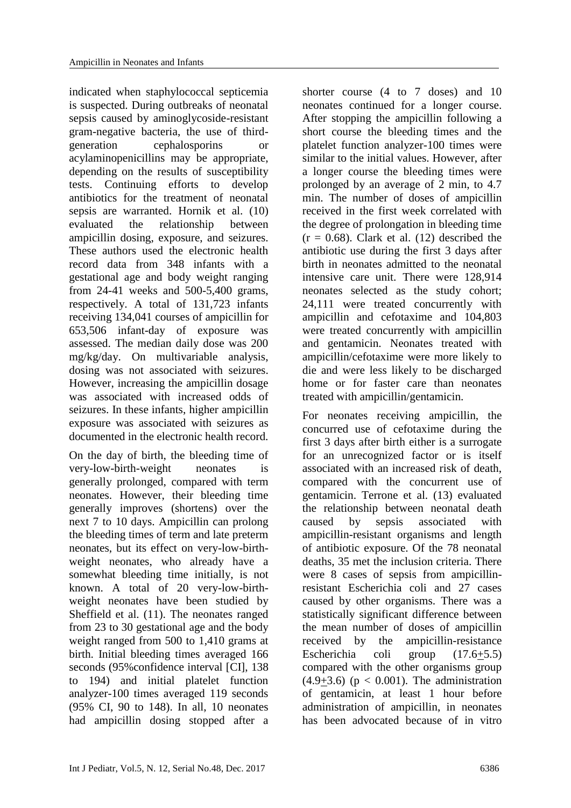indicated when staphylococcal septicemia is suspected. During outbreaks of neonatal sepsis caused by aminoglycoside-resistant gram-negative bacteria, the use of thirdgeneration cephalosporins acylaminopenicillins may be appropriate, depending on the results of susceptibility tests. Continuing efforts to develop antibiotics for the treatment of neonatal sepsis are warranted. Hornik et al. (10) evaluated the relationship between ampicillin dosing, exposure, and seizures. These authors used the electronic health record data from 348 infants with a gestational age and body weight ranging from 24-41 weeks and 500-5,400 grams, respectively. A total of 131,723 infants receiving 134,041 courses of ampicillin for 653,506 infant-day of exposure was assessed. The median daily dose was 200 mg/kg/day. On multivariable analysis, dosing was not associated with seizures. However, increasing the ampicillin dosage was associated with increased odds of seizures. In these infants, higher ampicillin exposure was associated with seizures as documented in the electronic health record.

On the day of birth, the bleeding time of very-low-birth-weight neonates is generally prolonged, compared with term neonates. However, their bleeding time generally improves (shortens) over the next 7 to 10 days. Ampicillin can prolong the bleeding times of term and late preterm neonates, but its effect on very-low-birthweight neonates, who already have a somewhat bleeding time initially, is not known. A total of 20 very-low-birthweight neonates have been studied by Sheffield et al. (11). The neonates ranged from 23 to 30 gestational age and the body weight ranged from 500 to 1,410 grams at birth. Initial bleeding times averaged 166 seconds (95%confidence interval [CI], 138 to 194) and initial platelet function analyzer-100 times averaged 119 seconds (95% CI, 90 to 148). In all, 10 neonates had ampicillin dosing stopped after a shorter course (4 to 7 doses) and 10 neonates continued for a longer course. After stopping the ampicillin following a short course the bleeding times and the platelet function analyzer-100 times were similar to the initial values. However, after a longer course the bleeding times were prolonged by an average of 2 min, to 4.7 min. The number of doses of ampicillin received in the first week correlated with the degree of prolongation in bleeding time  $(r = 0.68)$ . Clark et al. (12) described the antibiotic use during the first 3 days after birth in neonates admitted to the neonatal intensive care unit. There were 128,914 neonates selected as the study cohort; 24,111 were treated concurrently with ampicillin and cefotaxime and 104,803 were treated concurrently with ampicillin and gentamicin. Neonates treated with ampicillin/cefotaxime were more likely to die and were less likely to be discharged home or for faster care than neonates treated with ampicillin/gentamicin.

For neonates receiving ampicillin, the concurred use of cefotaxime during the first 3 days after birth either is a surrogate for an unrecognized factor or is itself associated with an increased risk of death, compared with the concurrent use of gentamicin. Terrone et al. (13) evaluated the relationship between neonatal death caused by sepsis associated with ampicillin-resistant organisms and length of antibiotic exposure. Of the 78 neonatal deaths, 35 met the inclusion criteria. There were 8 cases of sepsis from ampicillinresistant Escherichia coli and 27 cases caused by other organisms. There was a statistically significant difference between the mean number of doses of ampicillin received by the ampicillin-resistance Escherichia coli group (17.6+5.5) compared with the other organisms group  $(4.9+3.6)$  ( $p < 0.001$ ). The administration of gentamicin, at least 1 hour before administration of ampicillin, in neonates has been advocated because of in vitro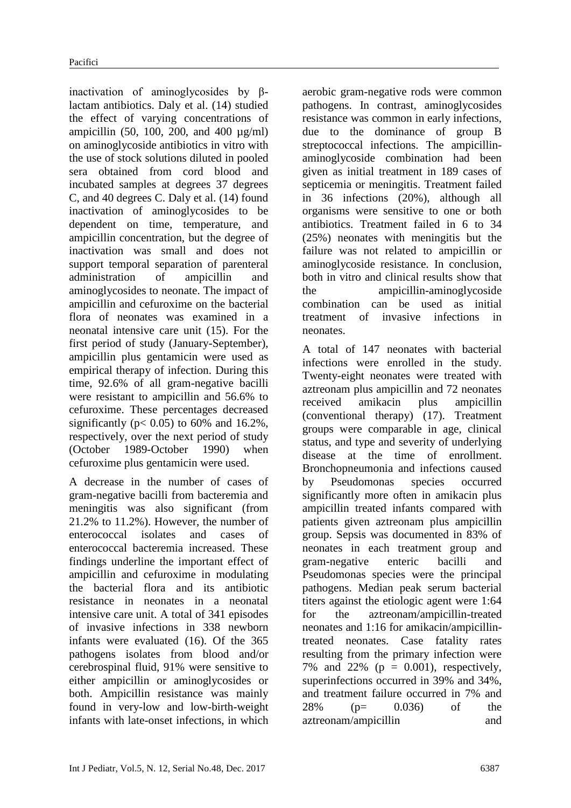inactivation of aminoglycosides by βlactam antibiotics. Daly et al. (14) studied the effect of varying concentrations of ampicillin (50, 100, 200, and 400  $\mu$ g/ml) on aminoglycoside antibiotics in vitro with the use of stock solutions diluted in pooled sera obtained from cord blood and incubated samples at degrees 37 degrees C, and 40 degrees C. Daly et al. (14) found inactivation of aminoglycosides to be dependent on time, temperature, and ampicillin concentration, but the degree of inactivation was small and does not support temporal separation of parenteral administration of ampicillin and aminoglycosides to neonate. The impact of ampicillin and cefuroxime on the bacterial flora of neonates was examined in a neonatal intensive care unit (15). For the first period of study (January-September), ampicillin plus gentamicin were used as empirical therapy of infection. During this time, 92.6% of all gram-negative bacilli were resistant to ampicillin and 56.6% to cefuroxime. These percentages decreased significantly ( $p < 0.05$ ) to 60% and 16.2%, respectively, over the next period of study (October 1989-October 1990) when cefuroxime plus gentamicin were used.

A decrease in the number of cases of gram-negative bacilli from bacteremia and meningitis was also significant (from 21.2% to 11.2%). However, the number of enterococcal isolates and cases of enterococcal bacteremia increased. These findings underline the important effect of ampicillin and cefuroxime in modulating the bacterial flora and its antibiotic resistance in neonates in a neonatal intensive care unit. A total of 341 episodes of invasive infections in 338 newborn infants were evaluated (16). Of the 365 pathogens isolates from blood and/or cerebrospinal fluid, 91% were sensitive to either ampicillin or aminoglycosides or both. Ampicillin resistance was mainly found in very-low and low-birth-weight infants with late-onset infections, in which

aerobic gram-negative rods were common pathogens. In contrast, aminoglycosides resistance was common in early infections, due to the dominance of group B streptococcal infections. The ampicillinaminoglycoside combination had been given as initial treatment in 189 cases of septicemia or meningitis. Treatment failed in 36 infections (20%), although all organisms were sensitive to one or both antibiotics. Treatment failed in 6 to 34 (25%) neonates with meningitis but the failure was not related to ampicillin or aminoglycoside resistance. In conclusion, both in vitro and clinical results show that the ampicillin-aminoglycoside combination can be used as initial treatment of invasive infections in neonates.

A total of 147 neonates with bacterial infections were enrolled in the study. Twenty-eight neonates were treated with aztreonam plus ampicillin and 72 neonates received amikacin plus ampicillin (conventional therapy) (17). Treatment groups were comparable in age, clinical status, and type and severity of underlying disease at the time of enrollment. Bronchopneumonia and infections caused by Pseudomonas species occurred significantly more often in amikacin plus ampicillin treated infants compared with patients given aztreonam plus ampicillin group. Sepsis was documented in 83% of neonates in each treatment group and gram-negative enteric bacilli and Pseudomonas species were the principal pathogens. Median peak serum bacterial titers against the etiologic agent were 1:64 for the aztreonam/ampicillin-treated neonates and 1:16 for amikacin/ampicillintreated neonates. Case fatality rates resulting from the primary infection were 7% and 22% ( $p = 0.001$ ), respectively, superinfections occurred in 39% and 34%, and treatment failure occurred in 7% and 28% (p= 0.036) of the aztreonam/ampicillin and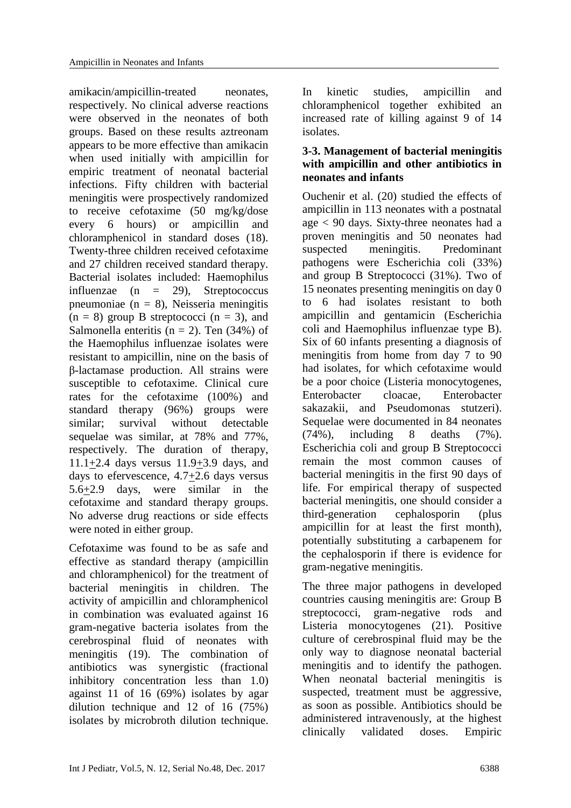amikacin/ampicillin-treated neonates, respectively. No clinical adverse reactions were observed in the neonates of both groups. Based on these results aztreonam appears to be more effective than amikacin when used initially with ampicillin for empiric treatment of neonatal bacterial infections. Fifty children with bacterial meningitis were prospectively randomized to receive cefotaxime (50 mg/kg/dose every 6 hours) or ampicillin and chloramphenicol in standard doses (18). Twenty-three children received cefotaxime and 27 children received standard therapy. Bacterial isolates included: Haemophilus influenzae (n = 29), Streptococcus pneumoniae ( $n = 8$ ), Neisseria meningitis  $(n = 8)$  group B streptococci  $(n = 3)$ , and Salmonella enteritis ( $n = 2$ ). Ten (34%) of the Haemophilus influenzae isolates were resistant to ampicillin, nine on the basis of β-lactamase production. All strains were susceptible to cefotaxime. Clinical cure rates for the cefotaxime (100%) and standard therapy (96%) groups were similar; survival without detectable sequelae was similar, at 78% and 77%, respectively. The duration of therapy, 11.1+2.4 days versus 11.9+3.9 days, and days to efervescence, 4.7+2.6 days versus 5.6+2.9 days, were similar in the cefotaxime and standard therapy groups. No adverse drug reactions or side effects were noted in either group.

Cefotaxime was found to be as safe and effective as standard therapy (ampicillin and chloramphenicol) for the treatment of bacterial meningitis in children. The activity of ampicillin and chloramphenicol in combination was evaluated against 16 gram-negative bacteria isolates from the cerebrospinal fluid of neonates with meningitis (19). The combination of antibiotics was synergistic (fractional inhibitory concentration less than 1.0) against 11 of 16 (69%) isolates by agar dilution technique and 12 of 16 (75%) isolates by microbroth dilution technique. In kinetic studies, ampicillin and chloramphenicol together exhibited an increased rate of killing against 9 of 14 isolates.

## **3-3. Management of bacterial meningitis with ampicillin and other antibiotics in neonates and infants**

Ouchenir et al. (20) studied the effects of ampicillin in 113 neonates with a postnatal age < 90 days. Sixty-three neonates had a proven meningitis and 50 neonates had suspected meningitis. Predominant pathogens were Escherichia coli (33%) and group B Streptococci (31%). Two of 15 neonates presenting meningitis on day 0 to 6 had isolates resistant to both ampicillin and gentamicin (Escherichia coli and Haemophilus influenzae type B). Six of 60 infants presenting a diagnosis of meningitis from home from day 7 to 90 had isolates, for which cefotaxime would be a poor choice (Listeria monocytogenes, Enterobacter cloacae, Enterobacter sakazakii, and Pseudomonas stutzeri). Sequelae were documented in 84 neonates (74%), including 8 deaths (7%). Escherichia coli and group B Streptococci remain the most common causes of bacterial meningitis in the first 90 days of life. For empirical therapy of suspected bacterial meningitis, one should consider a third-generation cephalosporin (plus ampicillin for at least the first month), potentially substituting a carbapenem for the cephalosporin if there is evidence for gram-negative meningitis.

The three major pathogens in developed countries causing meningitis are: Group B streptococci, gram-negative rods and Listeria monocytogenes (21). Positive culture of cerebrospinal fluid may be the only way to diagnose neonatal bacterial meningitis and to identify the pathogen. When neonatal bacterial meningitis is suspected, treatment must be aggressive, as soon as possible. Antibiotics should be administered intravenously, at the highest clinically validated doses. Empiric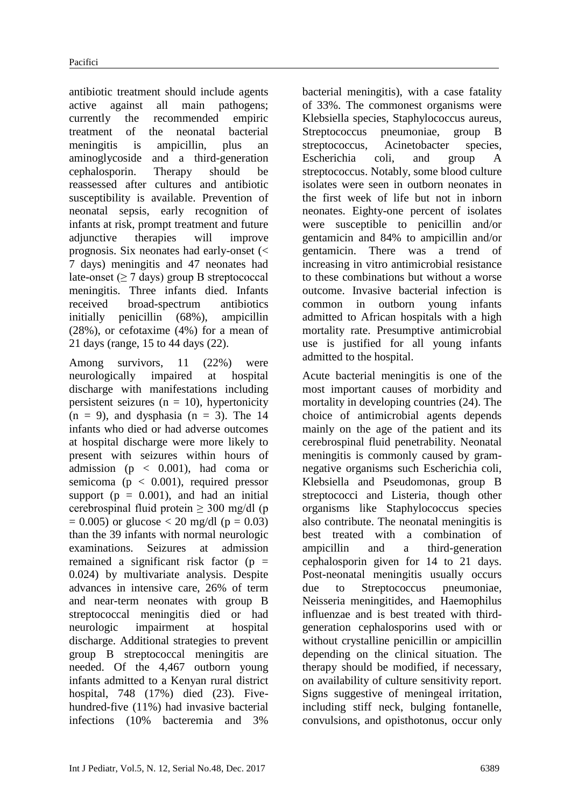antibiotic treatment should include agents active against all main pathogens; currently the recommended empiric treatment of the neonatal bacterial meningitis is ampicillin, plus an aminoglycoside and a third-generation cephalosporin. Therapy should be reassessed after cultures and antibiotic susceptibility is available. Prevention of neonatal sepsis, early recognition of infants at risk, prompt treatment and future adjunctive therapies will improve prognosis. Six neonates had early-onset (< 7 days) meningitis and 47 neonates had late-onset ( $\geq 7$  days) group B streptococcal meningitis. Three infants died. Infants received broad-spectrum antibiotics initially penicillin (68%), ampicillin (28%), or cefotaxime (4%) for a mean of 21 days (range, 15 to 44 days (22).

Among survivors, 11 (22%) were neurologically impaired at hospital discharge with manifestations including persistent seizures ( $n = 10$ ), hypertonicity  $(n = 9)$ , and dysphasia  $(n = 3)$ . The 14 infants who died or had adverse outcomes at hospital discharge were more likely to present with seizures within hours of admission ( $p < 0.001$ ), had coma or semicoma ( $p < 0.001$ ), required pressor support ( $p = 0.001$ ), and had an initial cerebrospinal fluid protein  $\geq 300$  mg/dl (p  $= 0.005$ ) or glucose  $< 20$  mg/dl (p  $= 0.03$ ) than the 39 infants with normal neurologic examinations. Seizures at admission remained a significant risk factor ( $p =$ 0.024) by multivariate analysis. Despite advances in intensive care, 26% of term and near-term neonates with group B streptococcal meningitis died or had neurologic impairment at hospital discharge. Additional strategies to prevent group B streptococcal meningitis are needed. Of the 4,467 outborn young infants admitted to a Kenyan rural district hospital, 748 (17%) died (23). Fivehundred-five (11%) had invasive bacterial infections (10% bacteremia and 3%

bacterial meningitis), with a case fatality of 33%. The commonest organisms were Klebsiella species, Staphylococcus aureus, Streptococcus pneumoniae, group B streptococcus, Acinetobacter species, Escherichia coli, and group A streptococcus. Notably, some blood culture isolates were seen in outborn neonates in the first week of life but not in inborn neonates. Eighty-one percent of isolates were susceptible to penicillin and/or gentamicin and 84% to ampicillin and/or gentamicin. There was a trend of increasing in vitro antimicrobial resistance to these combinations but without a worse outcome. Invasive bacterial infection is common in outborn young infants admitted to African hospitals with a high mortality rate. Presumptive antimicrobial use is justified for all young infants admitted to the hospital.

Acute bacterial meningitis is one of the most important causes of morbidity and mortality in developing countries (24). The choice of antimicrobial agents depends mainly on the age of the patient and its cerebrospinal fluid penetrability. Neonatal meningitis is commonly caused by gramnegative organisms such Escherichia coli, Klebsiella and Pseudomonas, group B streptococci and Listeria, though other organisms like Staphylococcus species also contribute. The neonatal meningitis is best treated with a combination of ampicillin and a third-generation cephalosporin given for 14 to 21 days. Post-neonatal meningitis usually occurs due to Streptococcus pneumoniae, Neisseria meningitides, and Haemophilus influenzae and is best treated with thirdgeneration cephalosporins used with or without crystalline penicillin or ampicillin depending on the clinical situation. The therapy should be modified, if necessary, on availability of culture sensitivity report. Signs suggestive of meningeal irritation, including stiff neck, bulging fontanelle, convulsions, and opisthotonus, occur only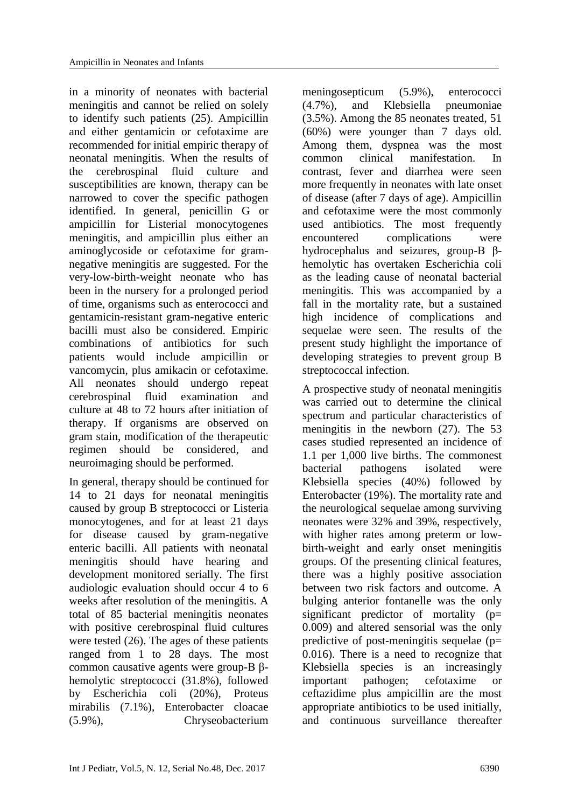in a minority of neonates with bacterial meningitis and cannot be relied on solely to identify such patients (25). Ampicillin and either gentamicin or cefotaxime are recommended for initial empiric therapy of neonatal meningitis. When the results of the cerebrospinal fluid culture and susceptibilities are known, therapy can be narrowed to cover the specific pathogen identified. In general, penicillin G or ampicillin for Listerial monocytogenes meningitis, and ampicillin plus either an aminoglycoside or cefotaxime for gramnegative meningitis are suggested. For the very-low-birth-weight neonate who has been in the nursery for a prolonged period of time, organisms such as enterococci and gentamicin-resistant gram-negative enteric bacilli must also be considered. Empiric combinations of antibiotics for such patients would include ampicillin or vancomycin, plus amikacin or cefotaxime. All neonates should undergo repeat cerebrospinal fluid examination and culture at 48 to 72 hours after initiation of therapy. If organisms are observed on gram stain, modification of the therapeutic regimen should be considered, and neuroimaging should be performed.

In general, therapy should be continued for 14 to 21 days for neonatal meningitis caused by group B streptococci or Listeria monocytogenes, and for at least 21 days for disease caused by gram-negative enteric bacilli. All patients with neonatal meningitis should have hearing and development monitored serially. The first audiologic evaluation should occur 4 to 6 weeks after resolution of the meningitis. A total of 85 bacterial meningitis neonates with positive cerebrospinal fluid cultures were tested (26). The ages of these patients ranged from 1 to 28 days. The most common causative agents were group-B βhemolytic streptococci (31.8%), followed by Escherichia coli (20%), Proteus mirabilis (7.1%), Enterobacter cloacae (5.9%), Chryseobacterium

meningosepticum (5.9%), enterococci (4.7%), and Klebsiella pneumoniae (3.5%). Among the 85 neonates treated, 51 (60%) were younger than 7 days old. Among them, dyspnea was the most common clinical manifestation. In contrast, fever and diarrhea were seen more frequently in neonates with late onset of disease (after 7 days of age). Ampicillin and cefotaxime were the most commonly used antibiotics. The most frequently encountered complications were hydrocephalus and seizures, group-B βhemolytic has overtaken Escherichia coli as the leading cause of neonatal bacterial meningitis. This was accompanied by a fall in the mortality rate, but a sustained high incidence of complications and sequelae were seen. The results of the present study highlight the importance of developing strategies to prevent group B streptococcal infection.

A prospective study of neonatal meningitis was carried out to determine the clinical spectrum and particular characteristics of meningitis in the newborn (27). The 53 cases studied represented an incidence of 1.1 per 1,000 live births. The commonest bacterial pathogens isolated were Klebsiella species (40%) followed by Enterobacter (19%). The mortality rate and the neurological sequelae among surviving neonates were 32% and 39%, respectively, with higher rates among preterm or lowbirth-weight and early onset meningitis groups. Of the presenting clinical features, there was a highly positive association between two risk factors and outcome. A bulging anterior fontanelle was the only significant predictor of mortality (p= 0.009) and altered sensorial was the only predictive of post-meningitis sequelae (p= 0.016). There is a need to recognize that Klebsiella species is an increasingly important pathogen; cefotaxime or ceftazidime plus ampicillin are the most appropriate antibiotics to be used initially, and continuous surveillance thereafter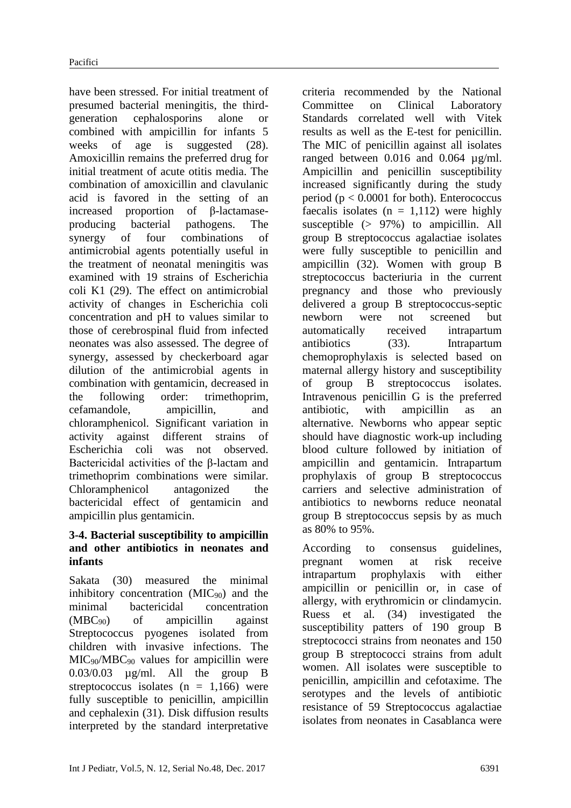have been stressed. For initial treatment of presumed bacterial meningitis, the thirdgeneration cephalosporins alone or combined with ampicillin for infants 5 weeks of age is suggested (28). Amoxicillin remains the preferred drug for initial treatment of acute otitis media. The combination of amoxicillin and clavulanic acid is favored in the setting of an increased proportion of β-lactamaseproducing bacterial pathogens. The synergy of four combinations of antimicrobial agents potentially useful in the treatment of neonatal meningitis was examined with 19 strains of Escherichia coli K1 (29). The effect on antimicrobial activity of changes in Escherichia coli concentration and pH to values similar to those of cerebrospinal fluid from infected neonates was also assessed. The degree of synergy, assessed by checkerboard agar dilution of the antimicrobial agents in combination with gentamicin, decreased in the following order: trimethoprim, cefamandole, ampicillin, and chloramphenicol. Significant variation in activity against different strains of Escherichia coli was not observed. Bactericidal activities of the β-lactam and trimethoprim combinations were similar. Chloramphenicol antagonized the bactericidal effect of gentamicin and ampicillin plus gentamicin.

#### **3-4. Bacterial susceptibility to ampicillin and other antibiotics in neonates and infants**

Sakata (30) measured the minimal inhibitory concentration  $(MIC_{90})$  and the minimal bactericidal concentration  $(MBC_{90})$  of ampicillin against Streptococcus pyogenes isolated from children with invasive infections. The MIC90/MBC<sup>90</sup> values for ampicillin were 0.03/0.03 µg/ml. All the group B streptococcus isolates  $(n = 1,166)$  were fully susceptible to penicillin, ampicillin and cephalexin (31). Disk diffusion results interpreted by the standard interpretative

criteria recommended by the National Committee on Clinical Laboratory Standards correlated well with Vitek results as well as the E-test for penicillin. The MIC of penicillin against all isolates ranged between  $0.016$  and  $0.064$   $\mu$ g/ml. Ampicillin and penicillin susceptibility increased significantly during the study period ( $p < 0.0001$  for both). Enterococcus faecalis isolates  $(n = 1,112)$  were highly susceptible  $(> 97\%)$  to ampicillin. All group B streptococcus agalactiae isolates were fully susceptible to penicillin and ampicillin (32). Women with group B streptococcus bacteriuria in the current pregnancy and those who previously delivered a group B streptococcus-septic newborn were not screened but automatically received intrapartum antibiotics (33). Intrapartum chemoprophylaxis is selected based on maternal allergy history and susceptibility of group B streptococcus isolates. Intravenous penicillin G is the preferred antibiotic, with ampicillin as an alternative. Newborns who appear septic should have diagnostic work-up including blood culture followed by initiation of ampicillin and gentamicin. Intrapartum prophylaxis of group B streptococcus carriers and selective administration of antibiotics to newborns reduce neonatal group B streptococcus sepsis by as much as 80% to 95%.

According to consensus guidelines, pregnant women at risk receive intrapartum prophylaxis with either ampicillin or penicillin or, in case of allergy, with erythromicin or clindamycin. Ruess et al. (34) investigated the susceptibility patters of 190 group B streptococci strains from neonates and 150 group B streptococci strains from adult women. All isolates were susceptible to penicillin, ampicillin and cefotaxime. The serotypes and the levels of antibiotic resistance of 59 Streptococcus agalactiae isolates from neonates in Casablanca were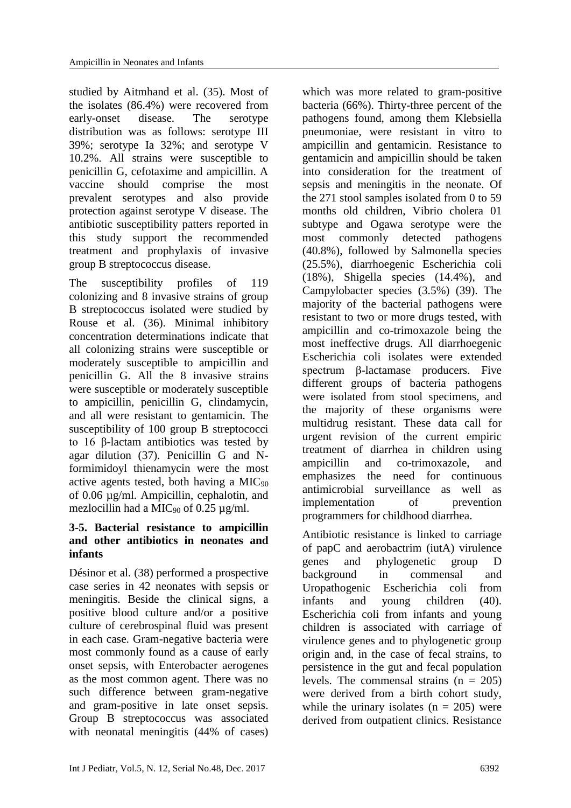studied by Aitmhand et al. (35). Most of the isolates (86.4%) were recovered from early-onset disease. The serotype distribution was as follows: serotype III 39%; serotype Ia 32%; and serotype V 10.2%. All strains were susceptible to penicillin G, cefotaxime and ampicillin. A vaccine should comprise the most prevalent serotypes and also provide protection against serotype V disease. The antibiotic susceptibility patters reported in this study support the recommended treatment and prophylaxis of invasive group B streptococcus disease.

The susceptibility profiles of 119 colonizing and 8 invasive strains of group B streptococcus isolated were studied by Rouse et al. (36). Minimal inhibitory concentration determinations indicate that all colonizing strains were susceptible or moderately susceptible to ampicillin and penicillin G. All the 8 invasive strains were susceptible or moderately susceptible to ampicillin, penicillin G, clindamycin, and all were resistant to gentamicin. The susceptibility of 100 group B streptococci to 16 β-lactam antibiotics was tested by agar dilution (37). Penicillin G and Nformimidoyl thienamycin were the most active agents tested, both having a  $MIC_{90}$ of 0.06 µg/ml. Ampicillin, cephalotin, and mezlocillin had a MIC<sub>90</sub> of 0.25  $\mu$ g/ml.

#### **3-5. Bacterial resistance to ampicillin and other antibiotics in neonates and infants**

Désinor et al. (38) performed a prospective case series in 42 neonates with sepsis or meningitis. Beside the clinical signs, a positive blood culture and/or a positive culture of cerebrospinal fluid was present in each case. Gram-negative bacteria were most commonly found as a cause of early onset sepsis, with Enterobacter aerogenes as the most common agent. There was no such difference between gram-negative and gram-positive in late onset sepsis. Group B streptococcus was associated with neonatal meningitis (44% of cases)

which was more related to gram-positive bacteria (66%). Thirty-three percent of the pathogens found, among them Klebsiella pneumoniae, were resistant in vitro to ampicillin and gentamicin. Resistance to gentamicin and ampicillin should be taken into consideration for the treatment of sepsis and meningitis in the neonate. Of the 271 stool samples isolated from 0 to 59 months old children, Vibrio cholera 01 subtype and Ogawa serotype were the most commonly detected pathogens (40.8%), followed by Salmonella species (25.5%), diarrhoegenic Escherichia coli (18%), Shigella species (14.4%), and Campylobacter species (3.5%) (39). The majority of the bacterial pathogens were resistant to two or more drugs tested, with ampicillin and co-trimoxazole being the most ineffective drugs. All diarrhoegenic Escherichia coli isolates were extended spectrum β-lactamase producers. Five different groups of bacteria pathogens were isolated from stool specimens, and the majority of these organisms were multidrug resistant. These data call for urgent revision of the current empiric treatment of diarrhea in children using ampicillin and co-trimoxazole, and emphasizes the need for continuous antimicrobial surveillance as well as implementation of prevention programmers for childhood diarrhea.

Antibiotic resistance is linked to carriage of papC and aerobactrim (iutA) virulence genes and phylogenetic group D background in commensal and Uropathogenic Escherichia coli from infants and young children (40). Escherichia coli from infants and young children is associated with carriage of virulence genes and to phylogenetic group origin and, in the case of fecal strains, to persistence in the gut and fecal population levels. The commensal strains  $(n = 205)$ were derived from a birth cohort study, while the urinary isolates  $(n = 205)$  were derived from outpatient clinics. Resistance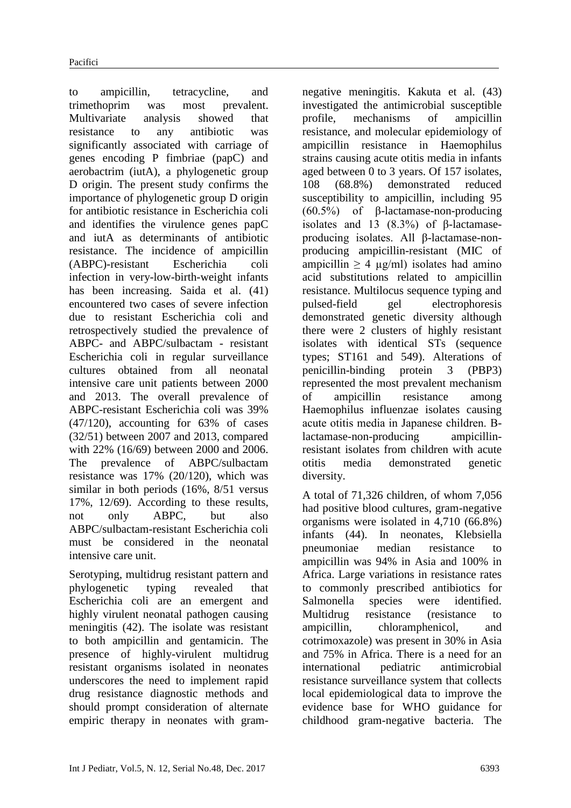to ampicillin, tetracycline, and trimethoprim was most prevalent. Multivariate analysis showed that resistance to any antibiotic was significantly associated with carriage of genes encoding P fimbriae (papC) and aerobactrim (iutA), a phylogenetic group D origin. The present study confirms the importance of phylogenetic group D origin for antibiotic resistance in Escherichia coli and identifies the virulence genes papC and iutA as determinants of antibiotic resistance. The incidence of ampicillin (ABPC)-resistant Escherichia coli infection in very-low-birth-weight infants has been increasing. Saida et al. (41) encountered two cases of severe infection due to resistant Escherichia coli and retrospectively studied the prevalence of ABPC- and ABPC/sulbactam - resistant Escherichia coli in regular surveillance cultures obtained from all neonatal intensive care unit patients between 2000 and 2013. The overall prevalence of ABPC-resistant Escherichia coli was 39% (47/120), accounting for 63% of cases (32/51) between 2007 and 2013, compared with 22% (16/69) between 2000 and 2006. The prevalence of ABPC/sulbactam resistance was 17% (20/120), which was similar in both periods (16%, 8/51 versus 17%, 12/69). According to these results, not only ABPC, but also ABPC/sulbactam-resistant Escherichia coli must be considered in the neonatal intensive care unit.

Serotyping, multidrug resistant pattern and phylogenetic typing revealed that Escherichia coli are an emergent and highly virulent neonatal pathogen causing meningitis (42). The isolate was resistant to both ampicillin and gentamicin. The presence of highly-virulent multidrug resistant organisms isolated in neonates underscores the need to implement rapid drug resistance diagnostic methods and should prompt consideration of alternate empiric therapy in neonates with gram-

negative meningitis. Kakuta et al. (43) investigated the antimicrobial susceptible profile, mechanisms of ampicillin resistance, and molecular epidemiology of ampicillin resistance in Haemophilus strains causing acute otitis media in infants aged between 0 to 3 years. Of 157 isolates, 108 (68.8%) demonstrated reduced susceptibility to ampicillin, including 95 (60.5%) of β-lactamase-non-producing isolates and 13  $(8.3\%)$  of  $\beta$ -lactamaseproducing isolates. All β-lactamase-nonproducing ampicillin-resistant (MIC of ampicillin  $\geq 4$  µg/ml) isolates had amino acid substitutions related to ampicillin resistance. Multilocus sequence typing and pulsed-field gel electrophoresis demonstrated genetic diversity although there were 2 clusters of highly resistant isolates with identical STs (sequence types; ST161 and 549). Alterations of penicillin-binding protein 3 (PBP3) represented the most prevalent mechanism of ampicillin resistance among Haemophilus influenzae isolates causing acute otitis media in Japanese children. Βlactamase-non-producing ampicillinresistant isolates from children with acute otitis media demonstrated genetic diversity.

A total of 71,326 children, of whom 7,056 had positive blood cultures, gram-negative organisms were isolated in 4,710 (66.8%) infants (44). In neonates, Klebsiella pneumoniae median resistance to ampicillin was 94% in Asia and 100% in Africa. Large variations in resistance rates to commonly prescribed antibiotics for Salmonella species were identified. Multidrug resistance (resistance to ampicillin, chloramphenicol, and cotrimoxazole) was present in 30% in Asia and 75% in Africa. There is a need for an international pediatric antimicrobial resistance surveillance system that collects local epidemiological data to improve the evidence base for WHO guidance for childhood gram-negative bacteria. The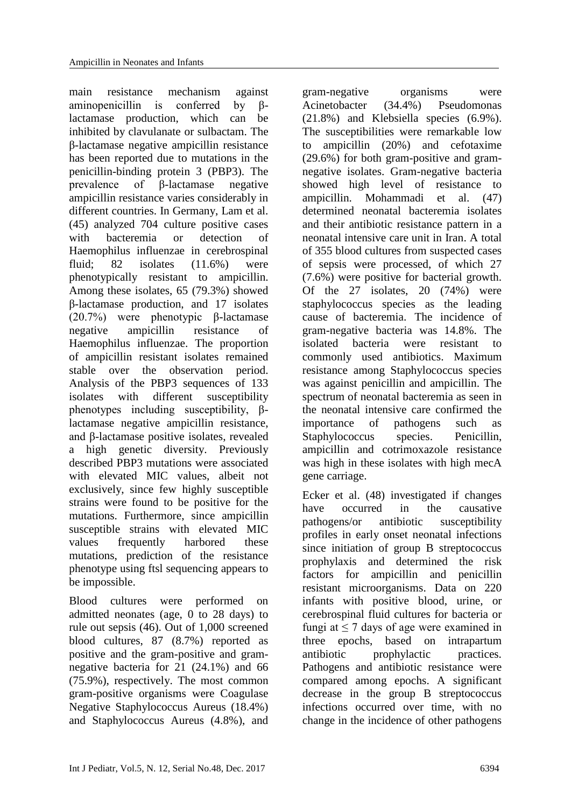main resistance mechanism against aminopenicillin is conferred by βlactamase production, which can be inhibited by clavulanate or sulbactam. The β-lactamase negative ampicillin resistance has been reported due to mutations in the penicillin-binding protein 3 (PBP3). The prevalence of β-lactamase negative ampicillin resistance varies considerably in different countries. In Germany, Lam et al. (45) analyzed 704 culture positive cases with bacteremia or detection of Haemophilus influenzae in cerebrospinal fluid; 82 isolates (11.6%) were phenotypically resistant to ampicillin. Among these isolates, 65 (79.3%) showed β-lactamase production, and 17 isolates (20.7%) were phenotypic β-lactamase negative ampicillin resistance of Haemophilus influenzae. The proportion of ampicillin resistant isolates remained stable over the observation period. Analysis of the PBP3 sequences of 133 isolates with different susceptibility phenotypes including susceptibility, βlactamase negative ampicillin resistance, and β-lactamase positive isolates, revealed a high genetic diversity. Previously described PBP3 mutations were associated with elevated MIC values, albeit not exclusively, since few highly susceptible strains were found to be positive for the mutations. Furthermore, since ampicillin susceptible strains with elevated MIC values frequently harbored these mutations, prediction of the resistance phenotype using ftsl sequencing appears to be impossible.

Blood cultures were performed on admitted neonates (age, 0 to 28 days) to rule out sepsis (46). Out of 1,000 screened blood cultures, 87 (8.7%) reported as positive and the gram-positive and gramnegative bacteria for 21 (24.1%) and 66 (75.9%), respectively. The most common gram-positive organisms were Coagulase Negative Staphylococcus Aureus (18.4%) and Staphylococcus Aureus (4.8%), and

gram-negative organisms were Acinetobacter (34.4%) Pseudomonas (21.8%) and Klebsiella species (6.9%). The susceptibilities were remarkable low to ampicillin (20%) and cefotaxime (29.6%) for both gram-positive and gramnegative isolates. Gram-negative bacteria showed high level of resistance to ampicillin. Mohammadi et al. (47) determined neonatal bacteremia isolates and their antibiotic resistance pattern in a neonatal intensive care unit in Iran. A total of 355 blood cultures from suspected cases of sepsis were processed, of which 27 (7.6%) were positive for bacterial growth. Of the 27 isolates, 20 (74%) were staphylococcus species as the leading cause of bacteremia. The incidence of gram-negative bacteria was 14.8%. The isolated bacteria were resistant to commonly used antibiotics. Maximum resistance among Staphylococcus species was against penicillin and ampicillin. The spectrum of neonatal bacteremia as seen in the neonatal intensive care confirmed the importance of pathogens such as Staphylococcus species. Penicillin, ampicillin and cotrimoxazole resistance was high in these isolates with high mecA gene carriage.

Ecker et al. (48) investigated if changes have occurred in the causative pathogens/or antibiotic susceptibility profiles in early onset neonatal infections since initiation of group B streptococcus prophylaxis and determined the risk factors for ampicillin and penicillin resistant microorganisms. Data on 220 infants with positive blood, urine, or cerebrospinal fluid cultures for bacteria or fungi at  $\leq 7$  days of age were examined in three epochs, based on intrapartum antibiotic prophylactic practices. Pathogens and antibiotic resistance were compared among epochs. A significant decrease in the group B streptococcus infections occurred over time, with no change in the incidence of other pathogens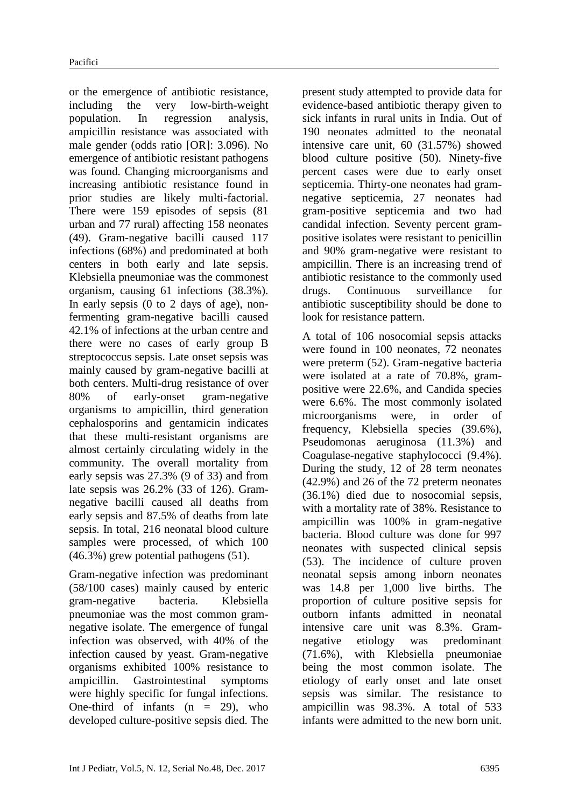or the emergence of antibiotic resistance, including the very low-birth-weight population. In regression analysis, ampicillin resistance was associated with male gender (odds ratio [OR]: 3.096). No emergence of antibiotic resistant pathogens was found. Changing microorganisms and increasing antibiotic resistance found in prior studies are likely multi-factorial. There were 159 episodes of sepsis (81 urban and 77 rural) affecting 158 neonates (49). Gram-negative bacilli caused 117 infections (68%) and predominated at both centers in both early and late sepsis. Klebsiella pneumoniae was the commonest organism, causing 61 infections (38.3%). In early sepsis (0 to 2 days of age), nonfermenting gram-negative bacilli caused 42.1% of infections at the urban centre and there were no cases of early group B streptococcus sepsis. Late onset sepsis was mainly caused by gram-negative bacilli at both centers. Multi-drug resistance of over 80% of early-onset gram-negative organisms to ampicillin, third generation cephalosporins and gentamicin indicates that these multi-resistant organisms are almost certainly circulating widely in the community. The overall mortality from early sepsis was 27.3% (9 of 33) and from late sepsis was 26.2% (33 of 126). Gramnegative bacilli caused all deaths from early sepsis and 87.5% of deaths from late sepsis. In total, 216 neonatal blood culture samples were processed, of which 100 (46.3%) grew potential pathogens (51).

Gram-negative infection was predominant (58/100 cases) mainly caused by enteric gram-negative bacteria. Klebsiella pneumoniae was the most common gramnegative isolate. The emergence of fungal infection was observed, with 40% of the infection caused by yeast. Gram-negative organisms exhibited 100% resistance to ampicillin. Gastrointestinal symptoms were highly specific for fungal infections. One-third of infants  $(n = 29)$ , who developed culture-positive sepsis died. The present study attempted to provide data for evidence-based antibiotic therapy given to sick infants in rural units in India. Out of 190 neonates admitted to the neonatal intensive care unit, 60 (31.57%) showed blood culture positive (50). Ninety-five percent cases were due to early onset septicemia. Thirty-one neonates had gramnegative septicemia, 27 neonates had gram-positive septicemia and two had candidal infection. Seventy percent grampositive isolates were resistant to penicillin and 90% gram-negative were resistant to ampicillin. There is an increasing trend of antibiotic resistance to the commonly used drugs. Continuous surveillance for antibiotic susceptibility should be done to look for resistance pattern.

A total of 106 nosocomial sepsis attacks were found in 100 neonates, 72 neonates were preterm (52). Gram-negative bacteria were isolated at a rate of 70.8%, grampositive were 22.6%, and Candida species were 6.6%. The most commonly isolated microorganisms were, in order of frequency, Klebsiella species (39.6%), Pseudomonas aeruginosa (11.3%) and Coagulase-negative staphylococci (9.4%). During the study, 12 of 28 term neonates (42.9%) and 26 of the 72 preterm neonates (36.1%) died due to nosocomial sepsis, with a mortality rate of 38%. Resistance to ampicillin was 100% in gram-negative bacteria. Blood culture was done for 997 neonates with suspected clinical sepsis (53). The incidence of culture proven neonatal sepsis among inborn neonates was 14.8 per 1,000 live births. The proportion of culture positive sepsis for outborn infants admitted in neonatal intensive care unit was 8.3%. Gramnegative etiology was predominant (71.6%), with Klebsiella pneumoniae being the most common isolate. The etiology of early onset and late onset sepsis was similar. The resistance to ampicillin was 98.3%. A total of 533 infants were admitted to the new born unit.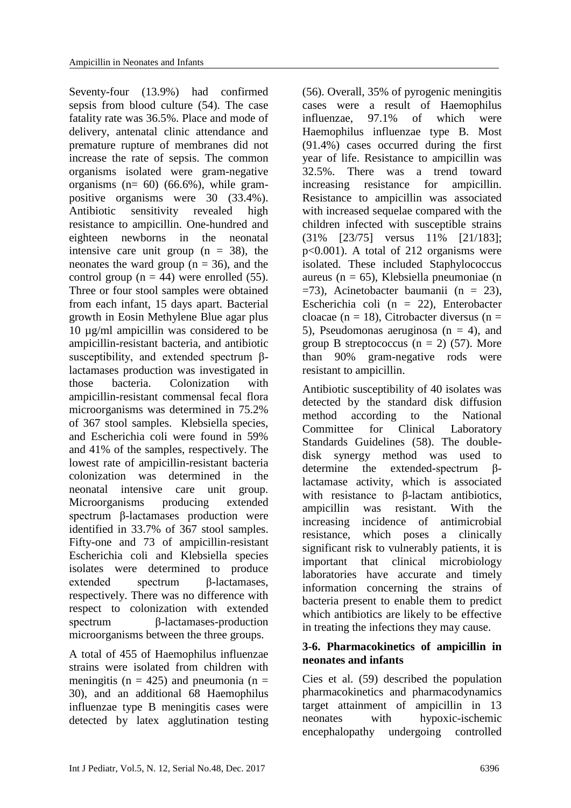Seventy-four (13.9%) had confirmed sepsis from blood culture (54). The case fatality rate was 36.5%. Place and mode of delivery, antenatal clinic attendance and premature rupture of membranes did not increase the rate of sepsis. The common organisms isolated were gram-negative organisms ( $n= 60$ ) (66.6%), while grampositive organisms were 30 (33.4%). Antibiotic sensitivity revealed high resistance to ampicillin. One-hundred and eighteen newborns in the neonatal intensive care unit group  $(n = 38)$ , the neonates the ward group  $(n = 36)$ , and the control group ( $n = 44$ ) were enrolled (55). Three or four stool samples were obtained from each infant, 15 days apart. Bacterial growth in Eosin Methylene Blue agar plus 10 µg/ml ampicillin was considered to be ampicillin-resistant bacteria, and antibiotic susceptibility, and extended spectrum βlactamases production was investigated in those bacteria. Colonization with ampicillin-resistant commensal fecal flora microorganisms was determined in 75.2% of 367 stool samples. Klebsiella species, and Escherichia coli were found in 59% and 41% of the samples, respectively. The lowest rate of ampicillin-resistant bacteria colonization was determined in the neonatal intensive care unit group. Microorganisms producing extended spectrum β-lactamases production were identified in 33.7% of 367 stool samples. Fifty-one and 73 of ampicillin-resistant Escherichia coli and Klebsiella species isolates were determined to produce extended spectrum β-lactamases, respectively. There was no difference with respect to colonization with extended spectrum β-lactamases-production microorganisms between the three groups.

A total of 455 of Haemophilus influenzae strains were isolated from children with meningitis ( $n = 425$ ) and pneumonia ( $n =$ 30), and an additional 68 Haemophilus influenzae type B meningitis cases were detected by latex agglutination testing

(56). Overall, 35% of pyrogenic meningitis cases were a result of Haemophilus influenzae, 97.1% of which were Haemophilus influenzae type B. Most (91.4%) cases occurred during the first year of life. Resistance to ampicillin was 32.5%. There was a trend toward increasing resistance for ampicillin. Resistance to ampicillin was associated with increased sequelae compared with the children infected with susceptible strains (31% [23/75] versus 11% [21/183]; p<0.001). A total of 212 organisms were isolated. These included Staphylococcus aureus (n = 65), Klebsiella pneumoniae (n  $=73$ ), Acinetobacter baumanii (n  $= 23$ ), Escherichia coli (n = 22), Enterobacter cloacae (n = 18), Citrobacter diversus (n = 5), Pseudomonas aeruginosa ( $n = 4$ ), and group B streptococcus  $(n = 2)$  (57). More than 90% gram-negative rods were resistant to ampicillin.

Antibiotic susceptibility of 40 isolates was detected by the standard disk diffusion method according to the National Committee for Clinical Laboratory Standards Guidelines (58). The doubledisk synergy method was used to determine the extended-spectrum βlactamase activity, which is associated with resistance to β-lactam antibiotics, ampicillin was resistant. With the increasing incidence of antimicrobial resistance, which poses a clinically significant risk to vulnerably patients, it is important that clinical microbiology laboratories have accurate and timely information concerning the strains of bacteria present to enable them to predict which antibiotics are likely to be effective in treating the infections they may cause.

## **3-6. Pharmacokinetics of ampicillin in neonates and infants**

Cies et al. (59) described the population pharmacokinetics and pharmacodynamics target attainment of ampicillin in 13 neonates with hypoxic-ischemic encephalopathy undergoing controlled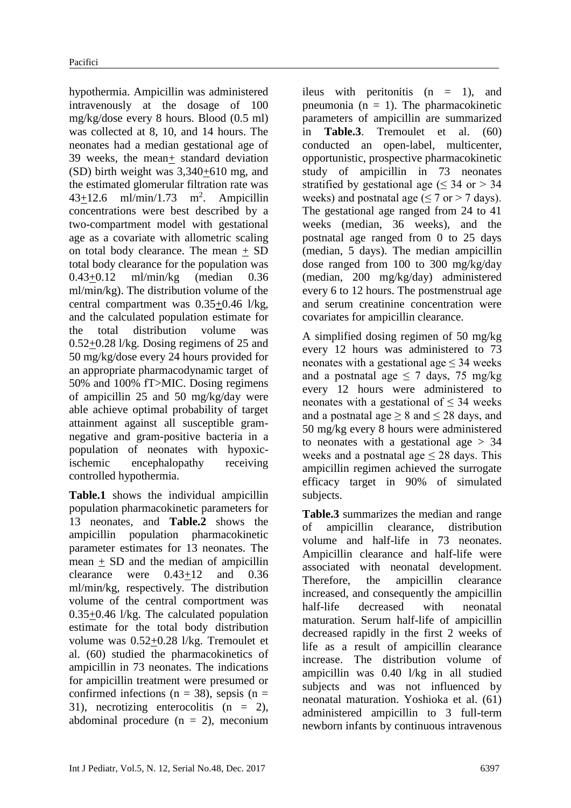hypothermia. Ampicillin was administered intravenously at the dosage of 100 mg/kg/dose every 8 hours. Blood (0.5 ml) was collected at 8, 10, and 14 hours. The neonates had a median gestational age of 39 weeks, the mean+ standard deviation (SD) birth weight was 3,340+610 mg, and the estimated glomerular filtration rate was  $43+12.6$  ml/min/1.73 m<sup>2</sup>. Ampicillin concentrations were best described by a two-compartment model with gestational age as a covariate with allometric scaling on total body clearance. The mean + SD total body clearance for the population was 0.43+0.12 ml/min/kg (median 0.36 ml/min/kg). The distribution volume of the central compartment was 0.35+0.46 l/kg, and the calculated population estimate for the total distribution volume was 0.52+0.28 l/kg. Dosing regimens of 25 and 50 mg/kg/dose every 24 hours provided for an appropriate pharmacodynamic target of 50% and 100% fT>MIC. Dosing regimens of ampicillin 25 and 50 mg/kg/day were able achieve optimal probability of target attainment against all susceptible gramnegative and gram-positive bacteria in a population of neonates with hypoxicischemic encephalopathy receiving controlled hypothermia.

**Table.1** shows the individual ampicillin population pharmacokinetic parameters for 13 neonates, and **Table.2** shows the ampicillin population pharmacokinetic parameter estimates for 13 neonates. The mean + SD and the median of ampicillin clearance were 0.43+12 and 0.36 ml/min/kg, respectively. The distribution volume of the central comportment was 0.35+0.46 l/kg. The calculated population estimate for the total body distribution volume was 0.52+0.28 l/kg. Tremoulet et al. (60) studied the pharmacokinetics of ampicillin in 73 neonates. The indications for ampicillin treatment were presumed or confirmed infections ( $n = 38$ ), sepsis ( $n =$ 31), necrotizing enterocolitis (n = 2), abdominal procedure  $(n = 2)$ , meconium ileus with peritonitis  $(n = 1)$ , and pneumonia  $(n = 1)$ . The pharmacokinetic parameters of ampicillin are summarized in **Table.3**. Tremoulet et al. (60) conducted an open-label, multicenter, opportunistic, prospective pharmacokinetic study of ampicillin in 73 neonates stratified by gestational age ( $\leq$  34 or  $>$  34 weeks) and postnatal age  $( \leq 7 \text{ or } > 7 \text{ days}).$ The gestational age ranged from 24 to 41 weeks (median, 36 weeks), and the postnatal age ranged from 0 to 25 days (median, 5 days). The median ampicillin dose ranged from 100 to 300 mg/kg/day (median, 200 mg/kg/day) administered every 6 to 12 hours. The postmenstrual age and serum creatinine concentration were covariates for ampicillin clearance.

A simplified dosing regimen of 50 mg/kg every 12 hours was administered to 73 neonates with a gestational age  $\leq$  34 weeks and a postnatal age  $\leq$  7 days, 75 mg/kg every 12 hours were administered to neonates with a gestational of  $\leq$  34 weeks and a postnatal age  $> 8$  and  $\leq 28$  days, and 50 mg/kg every 8 hours were administered to neonates with a gestational age  $> 34$ weeks and a postnatal age  $\leq 28$  days. This ampicillin regimen achieved the surrogate efficacy target in 90% of simulated subjects.

**Table.3** summarizes the median and range of ampicillin clearance, distribution volume and half-life in 73 neonates. Ampicillin clearance and half-life were associated with neonatal development. Therefore, the ampicillin clearance increased, and consequently the ampicillin half-life decreased with neonatal maturation. Serum half-life of ampicillin decreased rapidly in the first 2 weeks of life as a result of ampicillin clearance increase. The distribution volume of ampicillin was 0.40 l/kg in all studied subjects and was not influenced by neonatal maturation. Yoshioka et al. (61) administered ampicillin to 3 full-term newborn infants by continuous intravenous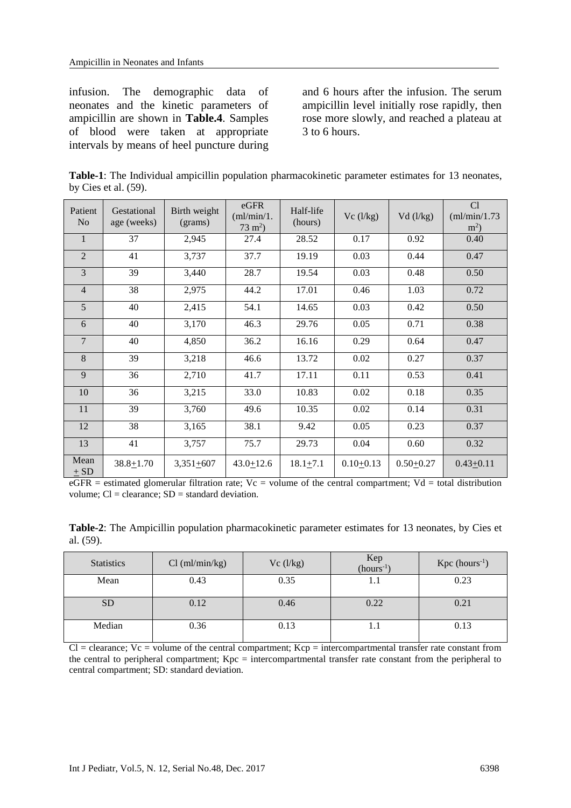infusion. The demographic data of neonates and the kinetic parameters of ampicillin are shown in **Table.4**. Samples of blood were taken at appropriate intervals by means of heel puncture during

and 6 hours after the infusion. The serum ampicillin level initially rose rapidly, then rose more slowly, and reached a plateau at 3 to 6 hours.

**Table-1**: The Individual ampicillin population pharmacokinetic parameter estimates for 13 neonates, by Cies et al. (59).

| Patient<br>N <sub>0</sub> | Gestational<br>age (weeks) | Birth weight<br>(grams) | eGFR<br>(ml/min/1.<br>$73 \text{ m}^2$ ) | Half-life<br>(hours) | Vc(1/kg)    | Vd (l/kg)   | Cl<br>(ml/min/1.73)<br>$m2$ ) |
|---------------------------|----------------------------|-------------------------|------------------------------------------|----------------------|-------------|-------------|-------------------------------|
| $\mathbf{1}$              | 37                         | 2,945                   | 27.4                                     | 28.52                | 0.17        | 0.92        | 0.40                          |
| $\overline{2}$            | 41                         | 3,737                   | 37.7                                     | 19.19                | 0.03        | 0.44        | 0.47                          |
| 3                         | 39                         | 3,440                   | 28.7                                     | 19.54                | 0.03        | 0.48        | 0.50                          |
| $\overline{4}$            | 38                         | 2,975                   | 44.2                                     | 17.01                | 0.46        | 1.03        | 0.72                          |
| 5                         | 40                         | 2,415                   | 54.1                                     | 14.65                | 0.03        | 0.42        | 0.50                          |
| 6                         | 40                         | 3,170                   | 46.3                                     | 29.76                | 0.05        | 0.71        | 0.38                          |
| 7                         | 40                         | 4,850                   | 36.2                                     | 16.16                | 0.29        | 0.64        | 0.47                          |
| 8                         | 39                         | 3,218                   | 46.6                                     | 13.72                | 0.02        | 0.27        | 0.37                          |
| 9                         | 36                         | 2,710                   | 41.7                                     | 17.11                | 0.11        | 0.53        | 0.41                          |
| 10                        | 36                         | 3,215                   | 33.0                                     | 10.83                | 0.02        | 0.18        | 0.35                          |
| 11                        | 39                         | 3,760                   | 49.6                                     | 10.35                | 0.02        | 0.14        | 0.31                          |
| 12                        | 38                         | 3,165                   | 38.1                                     | 9.42                 | 0.05        | 0.23        | 0.37                          |
| 13                        | 41                         | 3,757                   | 75.7                                     | 29.73                | 0.04        | 0.60        | 0.32                          |
| Mean<br>$\pm$ SD          | $38.8 + 1.70$              | $3,351+607$             | $43.0 \pm 12.6$                          | $18.1 + 7.1$         | $0.10+0.13$ | $0.50+0.27$ | $0.43 + 0.11$                 |

 $eGFR$  = estimated glomerular filtration rate; Vc = volume of the central compartment; Vd = total distribution volume;  $Cl = \text{clearance}$ ;  $SD = \text{standard deviation}$ .

| Table-2: The Ampicillin population pharmacokinetic parameter estimates for 13 neonates, by Cies et |  |  |
|----------------------------------------------------------------------------------------------------|--|--|
| al. $(59)$ .                                                                                       |  |  |

| <b>Statistics</b> | Cl (ml/min/kg) | Vc(1/kg) | $Kep$<br>(hours <sup>-1</sup> ) | $Kpc$ (hours <sup>-1</sup> ) |
|-------------------|----------------|----------|---------------------------------|------------------------------|
| Mean              | 0.43           | 0.35     | 1.1                             | 0.23                         |
| <b>SD</b>         | 0.12           | 0.46     | 0.22                            | 0.21                         |
| Median            | 0.36           | 0.13     | 1.1                             | 0.13                         |

 $Cl =$  clearance;  $Vc =$  volume of the central compartment;  $Kcp =$  intercompartmental transfer rate constant from the central to peripheral compartment; Kpc = intercompartmental transfer rate constant from the peripheral to central compartment; SD: standard deviation.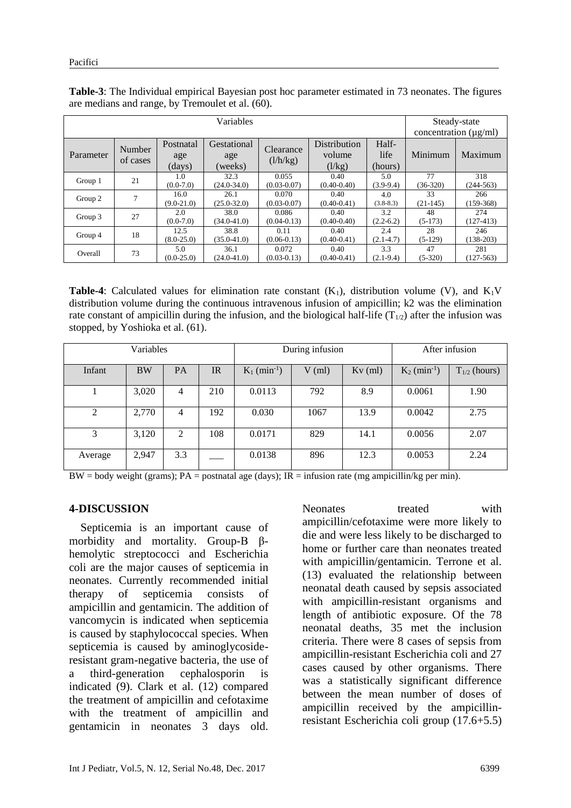| Variables |                    |                            |                               |                          |                                  |                          | Steady-state     |                            |  |
|-----------|--------------------|----------------------------|-------------------------------|--------------------------|----------------------------------|--------------------------|------------------|----------------------------|--|
|           |                    |                            |                               |                          |                                  |                          |                  | concentration $(\mu g/ml)$ |  |
| Parameter | Number<br>of cases | Postnatal<br>age<br>(days) | Gestational<br>age<br>(weeks) | Clearance<br>(l/h/kg)    | Distribution<br>volume<br>(l/kg) | Half-<br>life<br>(hours) | Minimum          | Maximum                    |  |
| Group 1   | 21                 | 1.0<br>$(0.0-7.0)$         | 32.3<br>$(24.0 - 34.0)$       | 0.055<br>$(0.03 - 0.07)$ | 0.40<br>$(0.40 - 0.40)$          | 5.0<br>$(3.9-9.4)$       | 77<br>$(36-320)$ | 318<br>$(244-563)$         |  |
| Group 2   | 7                  | 16.0<br>$(9.0-21.0)$       | 26.1<br>$(25.0 - 32.0)$       | 0.070<br>$(0.03 - 0.07)$ | 0.40<br>$(0.40 - 0.41)$          | 4.0<br>$(3.8-8.3)$       | 33<br>$(21-145)$ | 266<br>$(159-368)$         |  |
| Group 3   | 27                 | 2.0<br>$(0.0-7.0)$         | 38.0<br>$(34.0 - 41.0)$       | 0.086<br>$(0.04 - 0.13)$ | 0.40<br>$(0.40 - 0.40)$          | 3.2<br>$(2.2-6.2)$       | 48<br>$(5-173)$  | 274<br>$(127-413)$         |  |
| Group 4   | 18                 | 12.5<br>$(8.0-25.0)$       | 38.8<br>$(35.0 - 41.0)$       | 0.11<br>$(0.06 - 0.13)$  | 0.40<br>$(0.40 - 0.41)$          | 2.4<br>$(2.1 - 4.7)$     | 28<br>$(5-129)$  | 246<br>$(138-203)$         |  |
| Overall   | 73                 | 5.0<br>$(0.0-25.0)$        | 36.1<br>$(24.0 - 41.0)$       | 0.072<br>$(0.03 - 0.13)$ | 0.40<br>$(0.40 - 0.41)$          | 3.3<br>$(2.1-9.4)$       | 47<br>$(5-320)$  | 281<br>$(127-563)$         |  |

**Table-3**: The Individual empirical Bayesian post hoc parameter estimated in 73 neonates. The figures are medians and range, by Tremoulet et al. (60).

**Table-4**: Calculated values for elimination rate constant  $(K_1)$ , distribution volume (V), and  $K_1V$ distribution volume during the continuous intravenous infusion of ampicillin; k2 was the elimination rate constant of ampicillin during the infusion, and the biological half-life  $(T_{1/2})$  after the infusion was stopped, by Yoshioka et al. (61).

| Variables |           |     |     | During infusion            |          |           | After infusion             |                   |
|-----------|-----------|-----|-----|----------------------------|----------|-----------|----------------------------|-------------------|
| Infant    | <b>BW</b> | PA  | IR  | $K_1$ (min <sup>-1</sup> ) | $V$ (ml) | $Kv$ (ml) | $K_2$ (min <sup>-1</sup> ) | $T_{1/2}$ (hours) |
|           | 3,020     | 4   | 210 | 0.0113                     | 792      | 8.9       | 0.0061                     | 1.90              |
| 2         | 2,770     | 4   | 192 | 0.030                      | 1067     | 13.9      | 0.0042                     | 2.75              |
| 3         | 3,120     | 2   | 108 | 0.0171                     | 829      | 14.1      | 0.0056                     | 2.07              |
| Average   | 2,947     | 3.3 |     | 0.0138                     | 896      | 12.3      | 0.0053                     | 2.24              |

 $BW = body weight (grams); PA = postnatal age (days); IR = infusion rate (mg ampicillin/kg per min).$ 

#### **4-DISCUSSION**

 Septicemia is an important cause of morbidity and mortality. Group-B βhemolytic streptococci and Escherichia coli are the major causes of septicemia in neonates. Currently recommended initial therapy of septicemia consists of ampicillin and gentamicin. The addition of vancomycin is indicated when septicemia is caused by staphylococcal species. When septicemia is caused by aminoglycosideresistant gram-negative bacteria, the use of a third-generation cephalosporin is indicated (9). Clark et al. (12) compared the treatment of ampicillin and cefotaxime with the treatment of ampicillin and gentamicin in neonates 3 days old.

Neonates treated with ampicillin/cefotaxime were more likely to die and were less likely to be discharged to home or further care than neonates treated with ampicillin/gentamicin. Terrone et al. (13) evaluated the relationship between neonatal death caused by sepsis associated with ampicillin-resistant organisms and length of antibiotic exposure. Of the 78 neonatal deaths, 35 met the inclusion criteria. There were 8 cases of sepsis from ampicillin-resistant Escherichia coli and 27 cases caused by other organisms. There was a statistically significant difference between the mean number of doses of ampicillin received by the ampicillinresistant Escherichia coli group (17.6+5.5)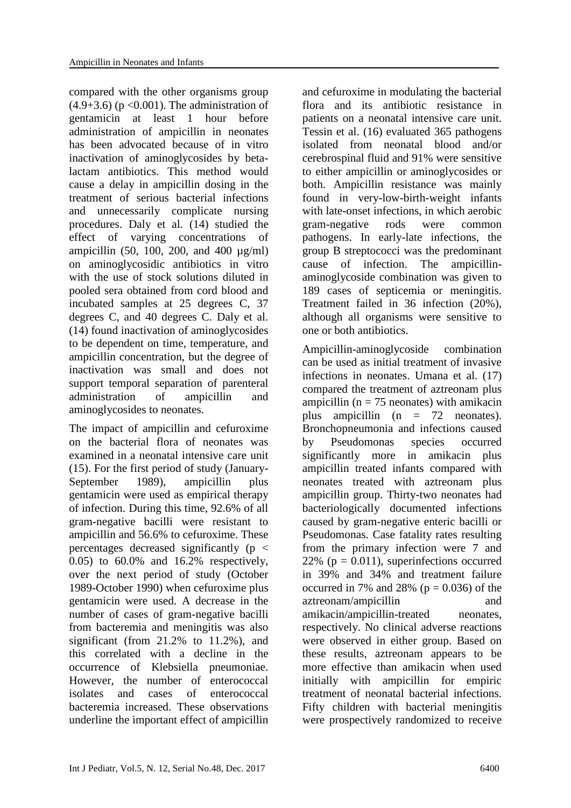compared with the other organisms group  $(4.9+3.6)$  (p < 0.001). The administration of gentamicin at least 1 hour before administration of ampicillin in neonates has been advocated because of in vitro inactivation of aminoglycosides by betalactam antibiotics. This method would cause a delay in ampicillin dosing in the treatment of serious bacterial infections and unnecessarily complicate nursing procedures. Daly et al. (14) studied the effect of varying concentrations of ampicillin (50, 100, 200, and 400 µg/ml) on aminoglycosidic antibiotics in vitro with the use of stock solutions diluted in pooled sera obtained from cord blood and incubated samples at 25 degrees C, 37 degrees C, and 40 degrees C. Daly et al. (14) found inactivation of aminoglycosides to be dependent on time, temperature, and ampicillin concentration, but the degree of inactivation was small and does not support temporal separation of parenteral administration of ampicillin and aminoglycosides to neonates.

The impact of ampicillin and cefuroxime on the bacterial flora of neonates was examined in a neonatal intensive care unit (15). For the first period of study (January-September 1989), ampicillin plus gentamicin were used as empirical therapy of infection. During this time, 92.6% of all gram-negative bacilli were resistant to ampicillin and 56.6% to cefuroxime. These percentages decreased significantly ( $p <$ 0.05) to 60.0% and 16.2% respectively, over the next period of study (October 1989-October 1990) when cefuroxime plus gentamicin were used. A decrease in the number of cases of gram-negative bacilli from bacteremia and meningitis was also significant (from 21.2% to 11.2%), and this correlated with a decline in the occurrence of Klebsiella pneumoniae. However, the number of enterococcal isolates and cases of enterococcal bacteremia increased. These observations underline the important effect of ampicillin and cefuroxime in modulating the bacterial flora and its antibiotic resistance in patients on a neonatal intensive care unit. Tessin et al. (16) evaluated 365 pathogens isolated from neonatal blood and/or cerebrospinal fluid and 91% were sensitive to either ampicillin or aminoglycosides or both. Ampicillin resistance was mainly found in very-low-birth-weight infants with late-onset infections, in which aerobic gram-negative rods were common pathogens. In early-late infections, the group B streptococci was the predominant cause of infection. The ampicillinaminoglycoside combination was given to 189 cases of septicemia or meningitis. Treatment failed in 36 infection (20%), although all organisms were sensitive to one or both antibiotics.

Ampicillin-aminoglycoside combination can be used as initial treatment of invasive infections in neonates. Umana et al. (17) compared the treatment of aztreonam plus ampicillin ( $n = 75$  neonates) with amikacin plus ampicillin (n = 72 neonates). Bronchopneumonia and infections caused by Pseudomonas species occurred significantly more in amikacin plus ampicillin treated infants compared with neonates treated with aztreonam plus ampicillin group. Thirty-two neonates had bacteriologically documented infections caused by gram-negative enteric bacilli or Pseudomonas. Case fatality rates resulting from the primary infection were 7 and 22% ( $p = 0.011$ ), superinfections occurred in 39% and 34% and treatment failure occurred in 7% and 28% ( $p = 0.036$ ) of the aztreonam/ampicillin and amikacin/ampicillin-treated neonates, respectively. No clinical adverse reactions were observed in either group. Based on these results, aztreonam appears to be more effective than amikacin when used initially with ampicillin for empiric treatment of neonatal bacterial infections. Fifty children with bacterial meningitis were prospectively randomized to receive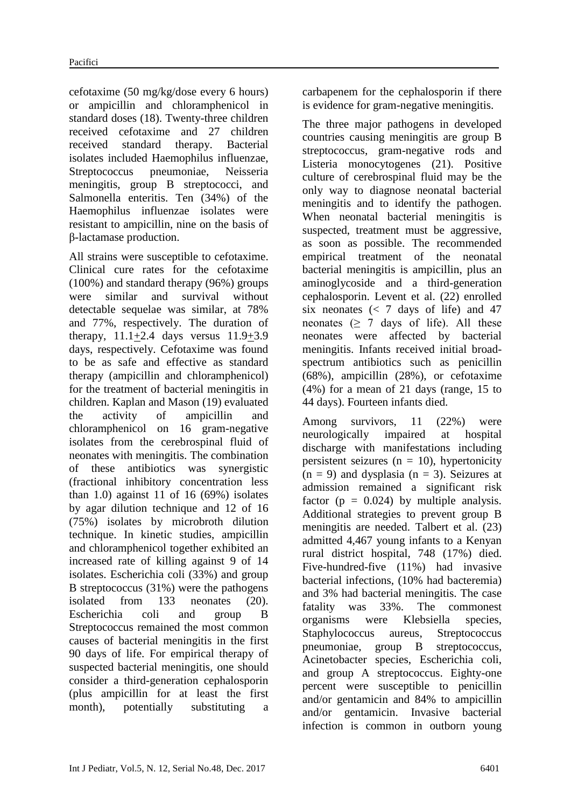cefotaxime (50 mg/kg/dose every 6 hours) or ampicillin and chloramphenicol in standard doses (18). Twenty-three children received cefotaxime and 27 children received standard therapy. Bacterial isolates included Haemophilus influenzae, Streptococcus pneumoniae, Neisseria meningitis, group B streptococci, and Salmonella enteritis. Ten (34%) of the Haemophilus influenzae isolates were resistant to ampicillin, nine on the basis of β-lactamase production.

All strains were susceptible to cefotaxime. Clinical cure rates for the cefotaxime (100%) and standard therapy (96%) groups were similar and survival without detectable sequelae was similar, at 78% and 77%, respectively. The duration of therapy, 11.1+2.4 days versus 11.9+3.9 days, respectively. Cefotaxime was found to be as safe and effective as standard therapy (ampicillin and chloramphenicol) for the treatment of bacterial meningitis in children. Kaplan and Mason (19) evaluated the activity of ampicillin and chloramphenicol on 16 gram-negative isolates from the cerebrospinal fluid of neonates with meningitis. The combination of these antibiotics was synergistic (fractional inhibitory concentration less than  $1.0$ ) against  $11$  of  $16$  (69%) isolates by agar dilution technique and 12 of 16 (75%) isolates by microbroth dilution technique. In kinetic studies, ampicillin and chloramphenicol together exhibited an increased rate of killing against 9 of 14 isolates. Escherichia coli (33%) and group B streptococcus (31%) were the pathogens isolated from 133 neonates (20). Escherichia coli and group B Streptococcus remained the most common causes of bacterial meningitis in the first 90 days of life. For empirical therapy of suspected bacterial meningitis, one should consider a third-generation cephalosporin (plus ampicillin for at least the first month), potentially substituting a carbapenem for the cephalosporin if there is evidence for gram-negative meningitis.

The three major pathogens in developed countries causing meningitis are group B streptococcus, gram-negative rods and Listeria monocytogenes (21). Positive culture of cerebrospinal fluid may be the only way to diagnose neonatal bacterial meningitis and to identify the pathogen. When neonatal bacterial meningitis is suspected, treatment must be aggressive, as soon as possible. The recommended empirical treatment of the neonatal bacterial meningitis is ampicillin, plus an aminoglycoside and a third-generation cephalosporin. Levent et al. (22) enrolled six neonates  $\langle \langle 7 \rangle$  days of life) and 47 neonates  $(2 \ 7 \ \text{days of life})$ . All these neonates were affected by bacterial meningitis. Infants received initial broadspectrum antibiotics such as penicillin (68%), ampicillin (28%), or cefotaxime (4%) for a mean of 21 days (range, 15 to 44 days). Fourteen infants died.

Among survivors, 11 (22%) were neurologically impaired at hospital discharge with manifestations including persistent seizures ( $n = 10$ ), hypertonicity  $(n = 9)$  and dysplasia  $(n = 3)$ . Seizures at admission remained a significant risk factor ( $p = 0.024$ ) by multiple analysis. Additional strategies to prevent group B meningitis are needed. Talbert et al. (23) admitted 4,467 young infants to a Kenyan rural district hospital, 748 (17%) died. Five-hundred-five (11%) had invasive bacterial infections, (10% had bacteremia) and 3% had bacterial meningitis. The case fatality was 33%. The commonest organisms were Klebsiella species, Staphylococcus aureus, Streptococcus pneumoniae, group B streptococcus, Acinetobacter species, Escherichia coli, and group A streptococcus. Eighty-one percent were susceptible to penicillin and/or gentamicin and 84% to ampicillin and/or gentamicin. Invasive bacterial infection is common in outborn young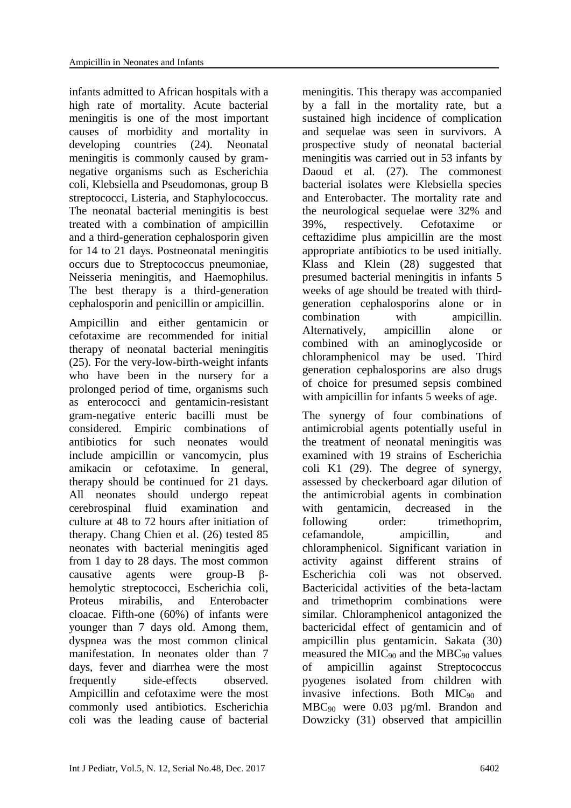infants admitted to African hospitals with a high rate of mortality. Acute bacterial meningitis is one of the most important causes of morbidity and mortality in developing countries (24). Neonatal meningitis is commonly caused by gramnegative organisms such as Escherichia coli, Klebsiella and Pseudomonas, group B streptococci, Listeria, and Staphylococcus. The neonatal bacterial meningitis is best treated with a combination of ampicillin and a third-generation cephalosporin given for 14 to 21 days. Postneonatal meningitis occurs due to Streptococcus pneumoniae, Neisseria meningitis, and Haemophilus. The best therapy is a third-generation cephalosporin and penicillin or ampicillin.

Ampicillin and either gentamicin or cefotaxime are recommended for initial therapy of neonatal bacterial meningitis (25). For the very-low-birth-weight infants who have been in the nursery for a prolonged period of time, organisms such as enterococci and gentamicin-resistant gram-negative enteric bacilli must be considered. Empiric combinations of antibiotics for such neonates would include ampicillin or vancomycin, plus amikacin or cefotaxime. In general, therapy should be continued for 21 days. All neonates should undergo repeat cerebrospinal fluid examination and culture at 48 to 72 hours after initiation of therapy. Chang Chien et al. (26) tested 85 neonates with bacterial meningitis aged from 1 day to 28 days. The most common causative agents were group-B βhemolytic streptococci, Escherichia coli, Proteus mirabilis, and Enterobacter cloacae. Fifth-one (60%) of infants were younger than 7 days old. Among them, dyspnea was the most common clinical manifestation. In neonates older than 7 days, fever and diarrhea were the most frequently side-effects observed. Ampicillin and cefotaxime were the most commonly used antibiotics. Escherichia coli was the leading cause of bacterial meningitis. This therapy was accompanied by a fall in the mortality rate, but a sustained high incidence of complication and sequelae was seen in survivors. A prospective study of neonatal bacterial meningitis was carried out in 53 infants by Daoud et al. (27). The commonest bacterial isolates were Klebsiella species and Enterobacter. The mortality rate and the neurological sequelae were 32% and 39%, respectively. Cefotaxime or ceftazidime plus ampicillin are the most appropriate antibiotics to be used initially. Klass and Klein (28) suggested that presumed bacterial meningitis in infants 5 weeks of age should be treated with thirdgeneration cephalosporins alone or in combination with ampicillin. Alternatively, ampicillin alone or combined with an aminoglycoside or chloramphenicol may be used. Third generation cephalosporins are also drugs of choice for presumed sepsis combined with ampicillin for infants 5 weeks of age.

The synergy of four combinations of antimicrobial agents potentially useful in the treatment of neonatal meningitis was examined with 19 strains of Escherichia coli K1 (29). The degree of synergy, assessed by checkerboard agar dilution of the antimicrobial agents in combination with gentamicin, decreased in the following order: trimethoprim, cefamandole, ampicillin, and chloramphenicol. Significant variation in activity against different strains of Escherichia coli was not observed. Bactericidal activities of the beta-lactam and trimethoprim combinations were similar. Chloramphenicol antagonized the bactericidal effect of gentamicin and of ampicillin plus gentamicin. Sakata (30) measured the  $MIC<sub>90</sub>$  and the MBC<sub>90</sub> values of ampicillin against Streptococcus pyogenes isolated from children with invasive infections. Both MIC<sub>90</sub> and MBC<sub>90</sub> were 0.03 µg/ml. Brandon and Dowzicky (31) observed that ampicillin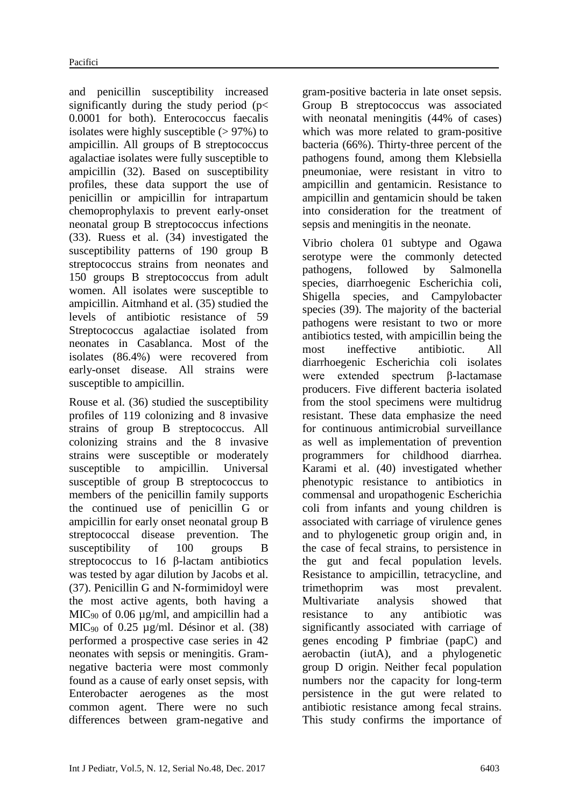and penicillin susceptibility increased significantly during the study period ( $p$ < 0.0001 for both). Enterococcus faecalis isolates were highly susceptible  $(> 97\%)$  to ampicillin. All groups of B streptococcus agalactiae isolates were fully susceptible to ampicillin (32). Based on susceptibility profiles, these data support the use of penicillin or ampicillin for intrapartum chemoprophylaxis to prevent early-onset neonatal group B streptococcus infections (33). Ruess et al. (34) investigated the susceptibility patterns of 190 group B streptococcus strains from neonates and 150 groups B streptococcus from adult women. All isolates were susceptible to ampicillin. Aitmhand et al. (35) studied the levels of antibiotic resistance of 59 Streptococcus agalactiae isolated from neonates in Casablanca. Most of the isolates (86.4%) were recovered from early-onset disease. All strains were susceptible to ampicillin.

Rouse et al. (36) studied the susceptibility profiles of 119 colonizing and 8 invasive strains of group B streptococcus. All colonizing strains and the 8 invasive strains were susceptible or moderately susceptible to ampicillin. Universal susceptible of group B streptococcus to members of the penicillin family supports the continued use of penicillin G or ampicillin for early onset neonatal group B streptococcal disease prevention. The susceptibility of 100 groups B streptococcus to 16 β-lactam antibiotics was tested by agar dilution by Jacobs et al. (37). Penicillin G and N-formimidoyl were the most active agents, both having a MIC<sub>90</sub> of 0.06  $\mu$ g/ml, and ampicillin had a MIC<sub>90</sub> of 0.25  $\mu$ g/ml. Désinor et al. (38) performed a prospective case series in 42 neonates with sepsis or meningitis. Gramnegative bacteria were most commonly found as a cause of early onset sepsis, with Enterobacter aerogenes as the most common agent. There were no such differences between gram-negative and

gram-positive bacteria in late onset sepsis. Group B streptococcus was associated with neonatal meningitis (44% of cases) which was more related to gram-positive bacteria (66%). Thirty-three percent of the pathogens found, among them Klebsiella pneumoniae, were resistant in vitro to ampicillin and gentamicin. Resistance to ampicillin and gentamicin should be taken into consideration for the treatment of sepsis and meningitis in the neonate.

Vibrio cholera 01 subtype and Ogawa serotype were the commonly detected pathogens, followed by Salmonella species, diarrhoegenic Escherichia coli, Shigella species, and Campylobacter species (39). The majority of the bacterial pathogens were resistant to two or more antibiotics tested, with ampicillin being the most ineffective antibiotic. All diarrhoegenic Escherichia coli isolates were extended spectrum β-lactamase producers. Five different bacteria isolated from the stool specimens were multidrug resistant. These data emphasize the need for continuous antimicrobial surveillance as well as implementation of prevention programmers for childhood diarrhea. Karami et al. (40) investigated whether phenotypic resistance to antibiotics in commensal and uropathogenic Escherichia coli from infants and young children is associated with carriage of virulence genes and to phylogenetic group origin and, in the case of fecal strains, to persistence in the gut and fecal population levels. Resistance to ampicillin, tetracycline, and trimethoprim was most prevalent. Multivariate analysis showed that resistance to any antibiotic was significantly associated with carriage of genes encoding P fimbriae (papC) and aerobactin (iutA), and a phylogenetic group D origin. Neither fecal population numbers nor the capacity for long-term persistence in the gut were related to antibiotic resistance among fecal strains. This study confirms the importance of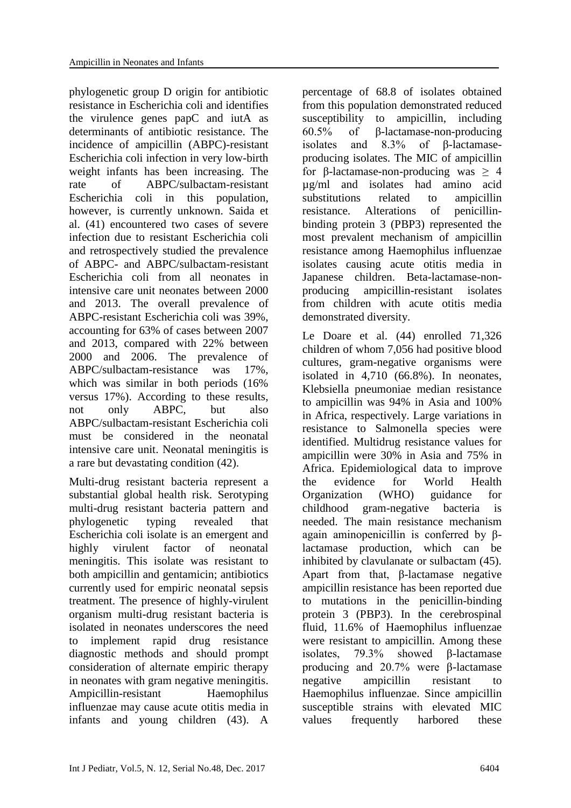phylogenetic group D origin for antibiotic resistance in Escherichia coli and identifies the virulence genes papC and iutA as determinants of antibiotic resistance. The incidence of ampicillin (ABPC)-resistant Escherichia coli infection in very low-birth weight infants has been increasing. The rate of ABPC/sulbactam-resistant Escherichia coli in this population, however, is currently unknown. Saida et al. (41) encountered two cases of severe infection due to resistant Escherichia coli and retrospectively studied the prevalence of ABPC- and ABPC/sulbactam-resistant Escherichia coli from all neonates in intensive care unit neonates between 2000 and 2013. The overall prevalence of ABPC-resistant Escherichia coli was 39%, accounting for 63% of cases between 2007 and 2013, compared with 22% between 2000 and 2006. The prevalence of ABPC/sulbactam-resistance was 17%, which was similar in both periods (16% versus 17%). According to these results, not only ABPC, but also ABPC/sulbactam-resistant Escherichia coli must be considered in the neonatal intensive care unit. Neonatal meningitis is a rare but devastating condition (42).

Multi-drug resistant bacteria represent a substantial global health risk. Serotyping multi-drug resistant bacteria pattern and phylogenetic typing revealed that Escherichia coli isolate is an emergent and highly virulent factor of neonatal meningitis. This isolate was resistant to both ampicillin and gentamicin; antibiotics currently used for empiric neonatal sepsis treatment. The presence of highly-virulent organism multi-drug resistant bacteria is isolated in neonates underscores the need to implement rapid drug resistance diagnostic methods and should prompt consideration of alternate empiric therapy in neonates with gram negative meningitis. Ampicillin-resistant Haemophilus influenzae may cause acute otitis media in infants and young children (43). A

percentage of 68.8 of isolates obtained from this population demonstrated reduced susceptibility to ampicillin, including 60.5% of β-lactamase-non-producing isolates and 8.3% of β-lactamaseproducing isolates. The MIC of ampicillin for β-lactamase-non-producing was  $\geq$  4 µg/ml and isolates had amino acid substitutions related to ampicillin resistance. Alterations of penicillinbinding protein 3 (PBP3) represented the most prevalent mechanism of ampicillin resistance among Haemophilus influenzae isolates causing acute otitis media in Japanese children. Beta-lactamase-nonproducing ampicillin-resistant isolates from children with acute otitis media demonstrated diversity.

Le Doare et al. (44) enrolled 71,326 children of whom 7,056 had positive blood cultures, gram-negative organisms were isolated in 4,710 (66.8%). In neonates, Klebsiella pneumoniae median resistance to ampicillin was 94% in Asia and 100% in Africa, respectively. Large variations in resistance to Salmonella species were identified. Multidrug resistance values for ampicillin were 30% in Asia and 75% in Africa. Epidemiological data to improve the evidence for World Health Organization (WHO) guidance for childhood gram-negative bacteria is needed. The main resistance mechanism again aminopenicillin is conferred by βlactamase production, which can be inhibited by clavulanate or sulbactam (45). Apart from that, β-lactamase negative ampicillin resistance has been reported due to mutations in the penicillin-binding protein 3 (PBP3). In the cerebrospinal fluid, 11.6% of Haemophilus influenzae were resistant to ampicillin. Among these isolates, 79.3% showed β-lactamase producing and 20.7% were β-lactamase negative ampicillin resistant to Haemophilus influenzae. Since ampicillin susceptible strains with elevated MIC values frequently harbored these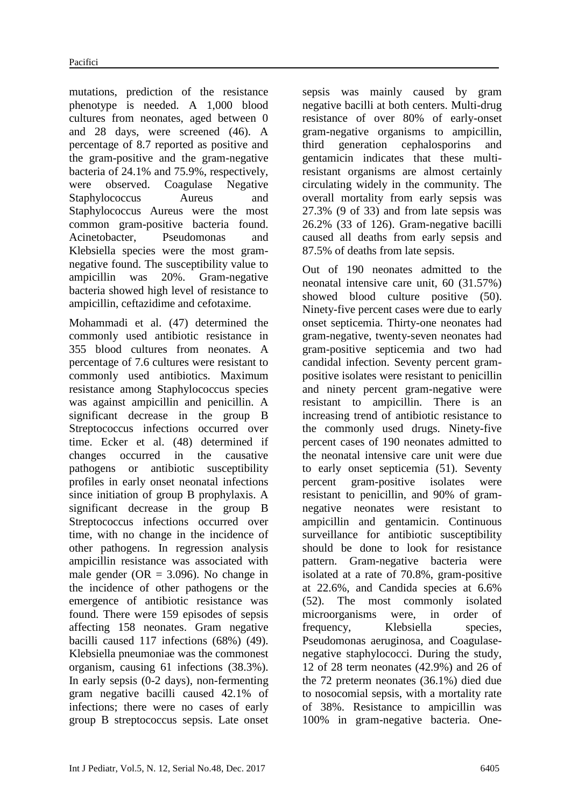mutations, prediction of the resistance phenotype is needed. A 1,000 blood cultures from neonates, aged between 0 and 28 days, were screened (46). A percentage of 8.7 reported as positive and the gram-positive and the gram-negative bacteria of 24.1% and 75.9%, respectively, were observed. Coagulase Negative Staphylococcus Aureus and Staphylococcus Aureus were the most common gram-positive bacteria found. Acinetobacter, Pseudomonas and Klebsiella species were the most gramnegative found. The susceptibility value to ampicillin was 20%. Gram-negative bacteria showed high level of resistance to ampicillin, ceftazidime and cefotaxime.

Mohammadi et al. (47) determined the commonly used antibiotic resistance in 355 blood cultures from neonates. A percentage of 7.6 cultures were resistant to commonly used antibiotics. Maximum resistance among Staphylococcus species was against ampicillin and penicillin. A significant decrease in the group B Streptococcus infections occurred over time. Ecker et al. (48) determined if changes occurred in the causative pathogens or antibiotic susceptibility profiles in early onset neonatal infections since initiation of group B prophylaxis. A significant decrease in the group B Streptococcus infections occurred over time, with no change in the incidence of other pathogens. In regression analysis ampicillin resistance was associated with male gender ( $OR = 3.096$ ). No change in the incidence of other pathogens or the emergence of antibiotic resistance was found. There were 159 episodes of sepsis affecting 158 neonates. Gram negative bacilli caused 117 infections (68%) (49). Klebsiella pneumoniae was the commonest organism, causing 61 infections (38.3%). In early sepsis (0-2 days), non-fermenting gram negative bacilli caused 42.1% of infections; there were no cases of early group B streptococcus sepsis. Late onset

sepsis was mainly caused by gram negative bacilli at both centers. Multi-drug resistance of over 80% of early-onset gram-negative organisms to ampicillin, third generation cephalosporins and gentamicin indicates that these multiresistant organisms are almost certainly circulating widely in the community. The overall mortality from early sepsis was 27.3% (9 of 33) and from late sepsis was 26.2% (33 of 126). Gram-negative bacilli caused all deaths from early sepsis and 87.5% of deaths from late sepsis.

Out of 190 neonates admitted to the neonatal intensive care unit, 60 (31.57%) showed blood culture positive (50). Ninety-five percent cases were due to early onset septicemia. Thirty-one neonates had gram-negative, twenty-seven neonates had gram-positive septicemia and two had candidal infection. Seventy percent grampositive isolates were resistant to penicillin and ninety percent gram-negative were resistant to ampicillin. There is an increasing trend of antibiotic resistance to the commonly used drugs. Ninety-five percent cases of 190 neonates admitted to the neonatal intensive care unit were due to early onset septicemia (51). Seventy percent gram-positive isolates were resistant to penicillin, and 90% of gramnegative neonates were resistant to ampicillin and gentamicin. Continuous surveillance for antibiotic susceptibility should be done to look for resistance pattern. Gram-negative bacteria were isolated at a rate of 70.8%, gram-positive at 22.6%, and Candida species at 6.6% (52). The most commonly isolated microorganisms were, in order of frequency, Klebsiella species, Pseudomonas aeruginosa, and Coagulasenegative staphylococci. During the study, 12 of 28 term neonates (42.9%) and 26 of the 72 preterm neonates (36.1%) died due to nosocomial sepsis, with a mortality rate of 38%. Resistance to ampicillin was 100% in gram-negative bacteria. One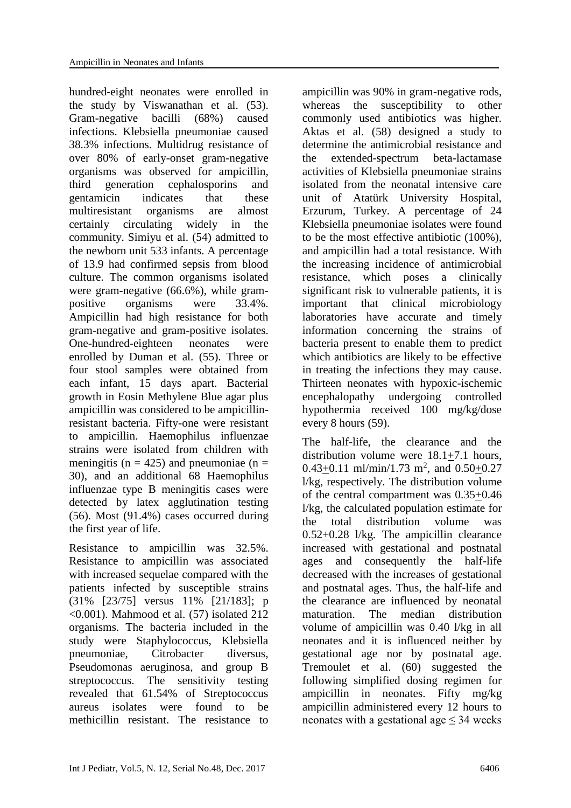hundred-eight neonates were enrolled in the study by Viswanathan et al. (53). Gram-negative bacilli (68%) caused infections. Klebsiella pneumoniae caused 38.3% infections. Multidrug resistance of over 80% of early-onset gram-negative organisms was observed for ampicillin, third generation cephalosporins and gentamicin indicates that these multiresistant organisms are almost certainly circulating widely in the community. Simiyu et al. (54) admitted to the newborn unit 533 infants. A percentage of 13.9 had confirmed sepsis from blood culture. The common organisms isolated were gram-negative (66.6%), while grampositive organisms were 33.4%. Ampicillin had high resistance for both gram-negative and gram-positive isolates. One-hundred-eighteen neonates were enrolled by Duman et al. (55). Three or four stool samples were obtained from each infant, 15 days apart. Bacterial growth in Eosin Methylene Blue agar plus ampicillin was considered to be ampicillinresistant bacteria. Fifty-one were resistant to ampicillin. Haemophilus influenzae strains were isolated from children with meningitis ( $n = 425$ ) and pneumoniae ( $n =$ 30), and an additional 68 Haemophilus influenzae type B meningitis cases were detected by latex agglutination testing (56). Most (91.4%) cases occurred during the first year of life.

Resistance to ampicillin was 32.5%. Resistance to ampicillin was associated with increased sequelae compared with the patients infected by susceptible strains (31% [23/75] versus 11% [21/183]; p <0.001). Mahmood et al. (57) isolated 212 organisms. The bacteria included in the study were Staphylococcus, Klebsiella pneumoniae, Citrobacter diversus, Pseudomonas aeruginosa, and group B streptococcus. The sensitivity testing revealed that 61.54% of Streptococcus aureus isolates were found to be methicillin resistant. The resistance to

ampicillin was 90% in gram-negative rods, whereas the susceptibility to other commonly used antibiotics was higher. Aktas et al. (58) designed a study to determine the antimicrobial resistance and the extended-spectrum beta-lactamase activities of Klebsiella pneumoniae strains isolated from the neonatal intensive care unit of Atatürk University Hospital, Erzurum, Turkey. A percentage of 24 Klebsiella pneumoniae isolates were found to be the most effective antibiotic (100%), and ampicillin had a total resistance. With the increasing incidence of antimicrobial resistance, which poses a clinically significant risk to vulnerable patients, it is important that clinical microbiology laboratories have accurate and timely information concerning the strains of bacteria present to enable them to predict which antibiotics are likely to be effective in treating the infections they may cause. Thirteen neonates with hypoxic-ischemic encephalopathy undergoing controlled hypothermia received 100 mg/kg/dose every 8 hours (59).

The half-life, the clearance and the distribution volume were 18.1+7.1 hours,  $0.43\pm0.11$  ml/min/1.73 m<sup>2</sup>, and  $0.50\pm0.27$ l/kg, respectively. The distribution volume of the central compartment was 0.35+0.46 l/kg, the calculated population estimate for the total distribution volume was 0.52+0.28 l/kg. The ampicillin clearance increased with gestational and postnatal ages and consequently the half-life decreased with the increases of gestational and postnatal ages. Thus, the half-life and the clearance are influenced by neonatal maturation. The median distribution volume of ampicillin was 0.40 l/kg in all neonates and it is influenced neither by gestational age nor by postnatal age. Tremoulet et al. (60) suggested the following simplified dosing regimen for ampicillin in neonates. Fifty mg/kg ampicillin administered every 12 hours to neonates with a gestational age  $\leq$  34 weeks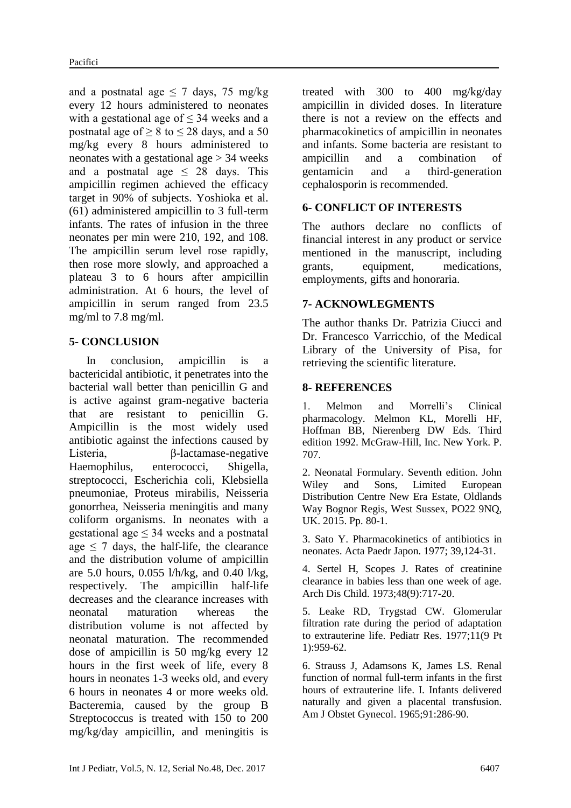and a postnatal age  $\leq$  7 days, 75 mg/kg every 12 hours administered to neonates with a gestational age of  $\leq$  34 weeks and a postnatal age of  $> 8$  to  $\leq$  28 days, and a 50 mg/kg every 8 hours administered to neonates with a gestational age  $> 34$  weeks and a postnatal age  $\leq$  28 days. This ampicillin regimen achieved the efficacy target in 90% of subjects. Yoshioka et al. (61) administered ampicillin to 3 full-term infants. The rates of infusion in the three neonates per min were 210, 192, and 108. The ampicillin serum level rose rapidly, then rose more slowly, and approached a plateau 3 to 6 hours after ampicillin administration. At 6 hours, the level of ampicillin in serum ranged from 23.5 mg/ml to 7.8 mg/ml.

## **5- CONCLUSION**

 In conclusion, ampicillin is a bactericidal antibiotic, it penetrates into the bacterial wall better than penicillin G and is active against gram-negative bacteria that are resistant to penicillin G. Ampicillin is the most widely used antibiotic against the infections caused by Listeria, β-lactamase-negative Haemophilus, enterococci, Shigella, streptococci, Escherichia coli, Klebsiella pneumoniae, Proteus mirabilis, Neisseria gonorrhea, Neisseria meningitis and many coliform organisms. In neonates with a gestational age  $\leq$  34 weeks and a postnatal age  $\leq$  7 days, the half-life, the clearance and the distribution volume of ampicillin are 5.0 hours, 0.055 l/h/kg, and 0.40 l/kg, respectively. The ampicillin half-life decreases and the clearance increases with neonatal maturation whereas the distribution volume is not affected by neonatal maturation. The recommended dose of ampicillin is 50 mg/kg every 12 hours in the first week of life, every 8 hours in neonates 1-3 weeks old, and every 6 hours in neonates 4 or more weeks old. Bacteremia, caused by the group B Streptococcus is treated with 150 to 200 mg/kg/day ampicillin, and meningitis is

treated with 300 to 400 mg/kg/day ampicillin in divided doses. In literature there is not a review on the effects and pharmacokinetics of ampicillin in neonates and infants. Some bacteria are resistant to ampicillin and a combination of gentamicin and a third-generation cephalosporin is recommended.

## **6- CONFLICT OF INTERESTS**

The authors declare no conflicts of financial interest in any product or service mentioned in the manuscript, including grants, equipment, medications, employments, gifts and honoraria.

## **7- ACKNOWLEGMENTS**

The author thanks Dr. Patrizia Ciucci and Dr. Francesco Varricchio, of the Medical Library of the University of Pisa, for retrieving the scientific literature.

## **8- REFERENCES**

1. Melmon and Morrelli's Clinical pharmacology. Melmon KL, Morelli HF, Hoffman BB, Nierenberg DW Eds. Third edition 1992. McGraw-Hill, Inc. New York. P. 707.

2. Neonatal Formulary. Seventh edition. John Wiley and Sons, Limited European Distribution Centre New Era Estate, Oldlands Way Bognor Regis, West Sussex, PO22 9NQ, UK. 2015. Pp. 80-1.

3. Sato Y. Pharmacokinetics of antibiotics in neonates. Acta Paedr Japon. 1977; 39,124-31.

4. Sertel H, Scopes J. Rates of creatinine clearance in babies less than one week of age. Arch Dis Child. 1973;48(9):717-20.

5. Leake RD, Trygstad CW. [Glomerular](https://www.ncbi.nlm.nih.gov/pubmed/904982)  [filtration rate during the period of adaptation](https://www.ncbi.nlm.nih.gov/pubmed/904982)  [to extrauterine life.](https://www.ncbi.nlm.nih.gov/pubmed/904982) Pediatr Res. 1977;11(9 Pt 1):959-62.

6. Strauss J, Adamsons K, James LS. Renal function of normal full-term infants in the first hours of extrauterine life. I. Infants delivered naturally and given a placental transfusion. Am J Obstet Gynecol. 1965;91:286-90.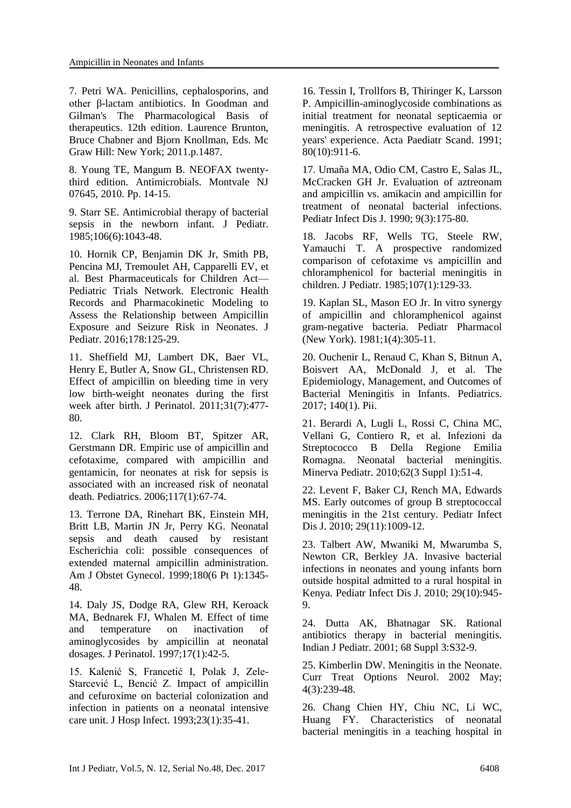7. Petri WA. Penicillins, cephalosporins, and other β-lactam antibiotics. In Goodman and Gilman's The Pharmacological Basis of therapeutics. 12th edition. Laurence Brunton, Bruce Chabner and Bjorn Knollman, Eds. Mc Graw Hill: New York; 2011.p.1487.

8. Young TE, Mangum B. NEOFAX twentythird edition. Antimicrobials. Montvale NJ 07645, 2010. Pp. 14-15.

9. Starr SE. [Antimicrobial therapy of bacterial](https://www.ncbi.nlm.nih.gov/pubmed/3889254)  [sepsis in the newborn infant.](https://www.ncbi.nlm.nih.gov/pubmed/3889254) J Pediatr. 1985;106(6):1043-48.

10. Hornik CP, Benjamin DK Jr, Smith PB, Pencina MJ, Tremoulet AH, Capparelli EV, et al. Best Pharmaceuticals for Children Act— Pediatric Trials Network. [Electronic Health](https://www.ncbi.nlm.nih.gov/pubmed/27522443)  [Records and Pharmacokinetic Modeling to](https://www.ncbi.nlm.nih.gov/pubmed/27522443)  [Assess the Relationship between Ampicillin](https://www.ncbi.nlm.nih.gov/pubmed/27522443)  [Exposure and Seizure Risk in Neonates.](https://www.ncbi.nlm.nih.gov/pubmed/27522443) J Pediatr. 2016;178:125-29.

11. Sheffield MJ, Lambert DK, Baer VL, Henry E, Butler A, Snow GL, Christensen RD. [Effect of ampicillin on bleeding time in very](https://www.ncbi.nlm.nih.gov/pubmed/21372796)  [low birth-weight neonates during the first](https://www.ncbi.nlm.nih.gov/pubmed/21372796)  [week after birth.](https://www.ncbi.nlm.nih.gov/pubmed/21372796) J Perinatol. 2011;31(7):477- 80.

12. Clark RH, Bloom BT, Spitzer AR, Gerstmann DR. [Empiric use of ampicillin and](https://www.ncbi.nlm.nih.gov/pubmed/16396862)  [cefotaxime, compared with ampicillin and](https://www.ncbi.nlm.nih.gov/pubmed/16396862)  [gentamicin, for neonates at risk for sepsis is](https://www.ncbi.nlm.nih.gov/pubmed/16396862)  [associated with an increased risk of neonatal](https://www.ncbi.nlm.nih.gov/pubmed/16396862)  [death.](https://www.ncbi.nlm.nih.gov/pubmed/16396862) Pediatrics. 2006;117(1):67-74.

13. Terrone DA, Rinehart BK, Einstein MH, Britt LB, Martin JN Jr, Perry KG. [Neonatal](https://www.ncbi.nlm.nih.gov/pubmed/10368469)  [sepsis and death caused by resistant](https://www.ncbi.nlm.nih.gov/pubmed/10368469)  [Escherichia coli: possible consequences of](https://www.ncbi.nlm.nih.gov/pubmed/10368469)  [extended maternal ampicillin administration.](https://www.ncbi.nlm.nih.gov/pubmed/10368469) Am J Obstet Gynecol. 1999;180(6 Pt 1):1345- 48.

14. Daly JS, Dodge RA, Glew RH, Keroack MA, Bednarek FJ, Whalen M. [Effect of time](https://www.ncbi.nlm.nih.gov/pubmed/9069064)  [and temperature on inactivation of](https://www.ncbi.nlm.nih.gov/pubmed/9069064)  [aminoglycosides by ampicillin at neonatal](https://www.ncbi.nlm.nih.gov/pubmed/9069064)  [dosages.](https://www.ncbi.nlm.nih.gov/pubmed/9069064) J Perinatol. 1997;17(1):42-5.

15. Kalenić S, Francetić I, Polak J, Zele-Starcević L, Bencić Z. [Impact of ampicillin](https://www.ncbi.nlm.nih.gov/pubmed/8095946)  [and cefuroxime on bacterial colonization and](https://www.ncbi.nlm.nih.gov/pubmed/8095946)  [infection in patients on a neonatal intensive](https://www.ncbi.nlm.nih.gov/pubmed/8095946)  [care unit.](https://www.ncbi.nlm.nih.gov/pubmed/8095946) J Hosp Infect. 1993;23(1):35-41.

16. [Tessin I,](https://www.ncbi.nlm.nih.gov/pubmed/?term=Tessin%20I%5BAuthor%5D&cauthor=true&cauthor_uid=1755296) [Trollfors B,](https://www.ncbi.nlm.nih.gov/pubmed/?term=Trollfors%20B%5BAuthor%5D&cauthor=true&cauthor_uid=1755296) [Thiringer K,](https://www.ncbi.nlm.nih.gov/pubmed/?term=Thiringer%20K%5BAuthor%5D&cauthor=true&cauthor_uid=1755296) [Larsson](https://www.ncbi.nlm.nih.gov/pubmed/?term=Larsson%20P%5BAuthor%5D&cauthor=true&cauthor_uid=1755296)  [P.](https://www.ncbi.nlm.nih.gov/pubmed/?term=Larsson%20P%5BAuthor%5D&cauthor=true&cauthor_uid=1755296) Ampicillin-aminoglycoside combinations as initial treatment for neonatal septicaemia or meningitis. A retrospective evaluation of 12 years' experience. [Acta Paediatr Scand.](https://www.ncbi.nlm.nih.gov/pubmed/?term=Tessin+i+1991) 1991; 80(10):911-6.

17. [Umaña MA,](https://www.ncbi.nlm.nih.gov/pubmed/?term=Uma%C3%B1a%20MA%5BAuthor%5D&cauthor=true&cauthor_uid=2186351) [Odio CM,](https://www.ncbi.nlm.nih.gov/pubmed/?term=Odio%20CM%5BAuthor%5D&cauthor=true&cauthor_uid=2186351) [Castro E,](https://www.ncbi.nlm.nih.gov/pubmed/?term=Castro%20E%5BAuthor%5D&cauthor=true&cauthor_uid=2186351) [Salas JL,](https://www.ncbi.nlm.nih.gov/pubmed/?term=Salas%20JL%5BAuthor%5D&cauthor=true&cauthor_uid=2186351) [McCracken GH Jr.](https://www.ncbi.nlm.nih.gov/pubmed/?term=McCracken%20GH%20Jr%5BAuthor%5D&cauthor=true&cauthor_uid=2186351) Evaluation of aztreonam and ampicillin vs. amikacin and ampicillin for treatment of neonatal bacterial infections. [Pediatr Infect Dis J.](https://www.ncbi.nlm.nih.gov/pubmed/?term=Umana+ma+1990) 1990; 9(3):175-80.

18. Jacobs RF, Wells TG, Steele RW, Yamauchi T. [A prospective randomized](https://www.ncbi.nlm.nih.gov/pubmed/3847486)  [comparison of cefotaxime vs ampicillin and](https://www.ncbi.nlm.nih.gov/pubmed/3847486)  [chloramphenicol for bacterial meningitis in](https://www.ncbi.nlm.nih.gov/pubmed/3847486)  [children.](https://www.ncbi.nlm.nih.gov/pubmed/3847486) J Pediatr. 1985;107(1):129-33.

19. Kaplan SL, Mason EO Jr. [In vitro synergy](https://www.ncbi.nlm.nih.gov/pubmed/7346749)  [of ampicillin and chloramphenicol against](https://www.ncbi.nlm.nih.gov/pubmed/7346749)  [gram-negative bacteria.](https://www.ncbi.nlm.nih.gov/pubmed/7346749) Pediatr Pharmacol (New York). 1981;1(4):305-11.

20. [Ouchenir L,](https://www.ncbi.nlm.nih.gov/pubmed/?term=Ouchenir%20L%5BAuthor%5D&cauthor=true&cauthor_uid=28600447) [Renaud C,](https://www.ncbi.nlm.nih.gov/pubmed/?term=Renaud%20C%5BAuthor%5D&cauthor=true&cauthor_uid=28600447) [Khan S,](https://www.ncbi.nlm.nih.gov/pubmed/?term=Khan%20S%5BAuthor%5D&cauthor=true&cauthor_uid=28600447) [Bitnun A,](https://www.ncbi.nlm.nih.gov/pubmed/?term=Bitnun%20A%5BAuthor%5D&cauthor=true&cauthor_uid=28600447) [Boisvert AA,](https://www.ncbi.nlm.nih.gov/pubmed/?term=Boisvert%20AA%5BAuthor%5D&cauthor=true&cauthor_uid=28600447) [McDonald J,](https://www.ncbi.nlm.nih.gov/pubmed/?term=McDonald%20J%5BAuthor%5D&cauthor=true&cauthor_uid=28600447) et al. The Epidemiology, Management, and Outcomes of Bacterial Meningitis in Infants. [Pediatrics.](https://www.ncbi.nlm.nih.gov/pubmed/?term=oucheir+l+2017) 2017; 140(1). Pii.

21. Berardi A, Lugli L, Rossi C, China MC, Vellani G, Contiero R, et al. Infezioni da Streptococco B Della Regione Emilia Romagna. [Neonatal bacterial meningitis.](https://www.ncbi.nlm.nih.gov/pubmed/21089719) Minerva Pediatr. 2010;62(3 Suppl 1):51-4.

22. [Levent F,](https://www.ncbi.nlm.nih.gov/pubmed/?term=Levent%20F%5BAuthor%5D&cauthor=true&cauthor_uid=20555292) [Baker CJ,](https://www.ncbi.nlm.nih.gov/pubmed/?term=Baker%20CJ%5BAuthor%5D&cauthor=true&cauthor_uid=20555292) [Rench MA,](https://www.ncbi.nlm.nih.gov/pubmed/?term=Rench%20MA%5BAuthor%5D&cauthor=true&cauthor_uid=20555292) [Edwards](https://www.ncbi.nlm.nih.gov/pubmed/?term=Edwards%20MS%5BAuthor%5D&cauthor=true&cauthor_uid=20555292)  [MS.](https://www.ncbi.nlm.nih.gov/pubmed/?term=Edwards%20MS%5BAuthor%5D&cauthor=true&cauthor_uid=20555292) Early outcomes of group B streptococcal meningitis in the 21st century. [Pediatr Infect](https://www.ncbi.nlm.nih.gov/pubmed/?term=Levent+f+2010)  [Dis J.](https://www.ncbi.nlm.nih.gov/pubmed/?term=Levent+f+2010) 2010; 29(11):1009-12.

23. Talbert AW, Mwaniki M, Mwarumba S, Newton CR, Berkley JA. [Invasive bacterial](https://www.ncbi.nlm.nih.gov/pubmed/20418799)  [infections in neonates and young infants born](https://www.ncbi.nlm.nih.gov/pubmed/20418799)  [outside hospital admitted to a rural hospital in](https://www.ncbi.nlm.nih.gov/pubmed/20418799)  [Kenya.](https://www.ncbi.nlm.nih.gov/pubmed/20418799) Pediatr Infect Dis J. 2010; 29(10):945- 9.

24. [Dutta AK,](https://www.ncbi.nlm.nih.gov/pubmed/?term=Dutta%20AK%5BAuthor%5D&cauthor=true&cauthor_uid=11980457) [Bhatnagar SK.](https://www.ncbi.nlm.nih.gov/pubmed/?term=Bhatnagar%20SK%5BAuthor%5D&cauthor=true&cauthor_uid=11980457) Rational antibiotics therapy in bacterial meningitis. [Indian J Pediatr.](https://www.ncbi.nlm.nih.gov/pubmed/?term=Dutta+ak%2C+Bhatnagar+sk+2001) 2001; 68 Suppl 3:S32-9.

25. Kimberlin DW. [Meningitis in the](https://www.ncbi.nlm.nih.gov/pubmed/11931731) Neonate. Curr Treat Options Neurol. 2002 May; 4(3):239-48.

26. [Chang Chien HY,](https://www.ncbi.nlm.nih.gov/pubmed/?term=Chang%20Chien%20HY%5BAuthor%5D&cauthor=true&cauthor_uid=10917879) [Chiu NC,](https://www.ncbi.nlm.nih.gov/pubmed/?term=Chiu%20NC%5BAuthor%5D&cauthor=true&cauthor_uid=10917879) [Li WC,](https://www.ncbi.nlm.nih.gov/pubmed/?term=Li%20WC%5BAuthor%5D&cauthor=true&cauthor_uid=10917879) [Huang FY.](https://www.ncbi.nlm.nih.gov/pubmed/?term=Huang%20FY%5BAuthor%5D&cauthor=true&cauthor_uid=10917879) Characteristics of neonatal bacterial meningitis in a teaching hospital in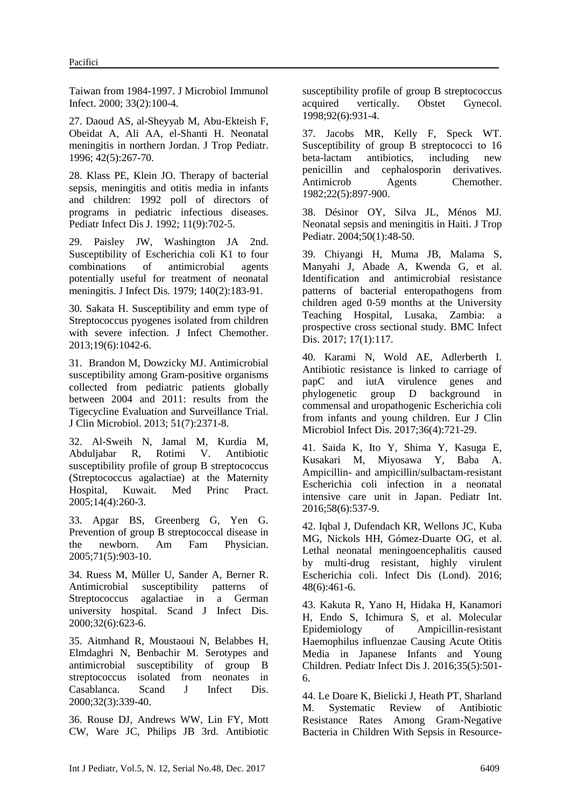Taiwan from 1984-1997. [J Microbiol Immunol](https://www.ncbi.nlm.nih.gov/pubmed/?term=chang+chien+hy+2000)  [Infect.](https://www.ncbi.nlm.nih.gov/pubmed/?term=chang+chien+hy+2000) 2000; 33(2):100-4.

27. Daoud AS, al-Sheyyab M, Abu-Ekteish F, Obeidat A, Ali AA, el-Shanti H. [Neonatal](https://www.ncbi.nlm.nih.gov/pubmed/8936956)  [meningitis in northern Jordan.](https://www.ncbi.nlm.nih.gov/pubmed/8936956) J Trop Pediatr. 1996; 42(5):267-70.

28. [Klass PE,](https://www.ncbi.nlm.nih.gov/pubmed/?term=Klass%20PE%5BAuthor%5D&cauthor=true&cauthor_uid=1448307) [Klein JO.](https://www.ncbi.nlm.nih.gov/pubmed/?term=Klein%20JO%5BAuthor%5D&cauthor=true&cauthor_uid=1448307) Therapy of bacterial sepsis, meningitis and otitis media in infants and children: 1992 poll of directors of programs in pediatric infectious diseases. [Pediatr Infect Dis J.](https://www.ncbi.nlm.nih.gov/pubmed/?term=Klass+pe%2C+Klein+jo+1992) 1992; 11(9):702-5.

29. [Paisley JW,](https://www.ncbi.nlm.nih.gov/pubmed/?term=Paisley%20JW%5BAuthor%5D&cauthor=true&cauthor_uid=383854) [Washington JA 2nd.](https://www.ncbi.nlm.nih.gov/pubmed/?term=Washington%20JA%202nd%5BAuthor%5D&cauthor=true&cauthor_uid=383854) Susceptibility of Escherichia coli K1 to four combinations of antimicrobial agents potentially useful for treatment of neonatal meningitis. [J Infect Dis.](https://www.ncbi.nlm.nih.gov/pubmed/?term=Paisley+jw%2C+ja+Washington+1979) 1979; 140(2):183-91.

30. Sakata H. [Susceptibility and emm type of](https://www.ncbi.nlm.nih.gov/pubmed/23703641)  [Streptococcus pyogenes isolated from children](https://www.ncbi.nlm.nih.gov/pubmed/23703641)  [with severe infection.](https://www.ncbi.nlm.nih.gov/pubmed/23703641) J Infect Chemother. 2013;19(6):1042-6.

31. [Brandon M,](https://www.ncbi.nlm.nih.gov/pubmed/?term=Brandon%20M%5BAuthor%5D&cauthor=true&cauthor_uid=23678070) [Dowzicky MJ.](https://www.ncbi.nlm.nih.gov/pubmed/?term=Dowzicky%20MJ%5BAuthor%5D&cauthor=true&cauthor_uid=23678070) Antimicrobial susceptibility among Gram-positive organisms collected from pediatric patients globally between 2004 and 2011: results from the Tigecycline Evaluation and Surveillance Trial. [J Clin Microbiol.](https://www.ncbi.nlm.nih.gov/pubmed/?term=Brandon+m%2C+Dowzicky+mj+2013) 2013; 51(7):2371-8.

32. Al-Sweih N, Jamal M, Kurdia M, Abduljabar R, Rotimi V. [Antibiotic](https://www.ncbi.nlm.nih.gov/pubmed/15961937)  [susceptibility profile of group B streptococcus](https://www.ncbi.nlm.nih.gov/pubmed/15961937)  [\(Streptococcus agalactiae\) at the Maternity](https://www.ncbi.nlm.nih.gov/pubmed/15961937)  [Hospital, Kuwait.](https://www.ncbi.nlm.nih.gov/pubmed/15961937) Med Princ Pract. 2005;14(4):260-3.

33. Apgar BS, Greenberg G, Yen G. [Prevention of group B streptococcal disease in](https://www.ncbi.nlm.nih.gov/pubmed/15768620)  [the newborn.](https://www.ncbi.nlm.nih.gov/pubmed/15768620) Am Fam Physician. 2005;71(5):903-10.

34. Ruess M, Müller U, Sander A, Berner R. [Antimicrobial susceptibility patterns of](https://www.ncbi.nlm.nih.gov/pubmed/11200371)  [Streptococcus agalactiae in a German](https://www.ncbi.nlm.nih.gov/pubmed/11200371)  [university hospital.](https://www.ncbi.nlm.nih.gov/pubmed/11200371) Scand J Infect Dis. 2000;32(6):623-6.

35. Aitmhand R, Moustaoui N, Belabbes H, Elmdaghri N, Benbachir M. [Serotypes and](https://www.ncbi.nlm.nih.gov/pubmed/10879617)  [antimicrobial susceptibility of group B](https://www.ncbi.nlm.nih.gov/pubmed/10879617)  [streptococcus isolated from neonates in](https://www.ncbi.nlm.nih.gov/pubmed/10879617)  [Casablanca.](https://www.ncbi.nlm.nih.gov/pubmed/10879617) Scand J Infect Dis. 2000;32(3):339-40.

36. Rouse DJ, Andrews WW, Lin FY, Mott CW, Ware JC, Philips JB 3rd. [Antibiotic](https://www.ncbi.nlm.nih.gov/pubmed/9840552)  [susceptibility profile of group B streptococcus](https://www.ncbi.nlm.nih.gov/pubmed/9840552)  [acquired vertically.](https://www.ncbi.nlm.nih.gov/pubmed/9840552) Obstet Gynecol. 1998;92(6):931-4.

37. Jacobs MR, Kelly F, Speck WT. [Susceptibility of group B streptococci to 16](https://www.ncbi.nlm.nih.gov/pubmed/6758692)  [beta-lactam antibiotics, including new](https://www.ncbi.nlm.nih.gov/pubmed/6758692)  [penicillin and cephalosporin derivatives.](https://www.ncbi.nlm.nih.gov/pubmed/6758692) Antimicrob Agents Chemother. 1982;22(5):897-900.

38. Désinor OY, Silva JL, Ménos MJ. [Neonatal sepsis and meningitis in Haiti.](https://www.ncbi.nlm.nih.gov/pubmed/14984170) J Trop Pediatr. 2004;50(1):48-50.

39. [Chiyangi H,](https://www.ncbi.nlm.nih.gov/pubmed/?term=Chiyangi%20H%5BAuthor%5D&cauthor=true&cauthor_uid=28152988) [Muma JB,](https://www.ncbi.nlm.nih.gov/pubmed/?term=Muma%20JB%5BAuthor%5D&cauthor=true&cauthor_uid=28152988) [Malama S,](https://www.ncbi.nlm.nih.gov/pubmed/?term=Malama%20S%5BAuthor%5D&cauthor=true&cauthor_uid=28152988) [Manyahi J,](https://www.ncbi.nlm.nih.gov/pubmed/?term=Manyahi%20J%5BAuthor%5D&cauthor=true&cauthor_uid=28152988) [Abade A,](https://www.ncbi.nlm.nih.gov/pubmed/?term=Abade%20A%5BAuthor%5D&cauthor=true&cauthor_uid=28152988) [Kwenda G,](https://www.ncbi.nlm.nih.gov/pubmed/?term=Kwenda%20G%5BAuthor%5D&cauthor=true&cauthor_uid=28152988) et al. Identification and antimicrobial resistance patterns of bacterial enteropathogens from children aged 0-59 months at the University Teaching Hospital, Lusaka, Zambia: a prospective cross sectional study. [BMC Infect](https://www.ncbi.nlm.nih.gov/pubmed/?term=Chiyangi+h+2017)  [Dis.](https://www.ncbi.nlm.nih.gov/pubmed/?term=Chiyangi+h+2017) 2017; 17(1):117.

40. Karami N, Wold AE, Adlerberth I. [Antibiotic resistance is linked to carriage of](https://www.ncbi.nlm.nih.gov/pubmed/27924435)  [papC and iutA virulence genes and](https://www.ncbi.nlm.nih.gov/pubmed/27924435)  [phylogenetic group D background in](https://www.ncbi.nlm.nih.gov/pubmed/27924435)  [commensal and uropathogenic Escherichia coli](https://www.ncbi.nlm.nih.gov/pubmed/27924435)  [from infants and young children.](https://www.ncbi.nlm.nih.gov/pubmed/27924435) Eur J Clin Microbiol Infect Dis. 2017;36(4):721-29.

41. Saida K, Ito Y, Shima Y, Kasuga E, Kusakari M, Miyosawa Y, Baba A. Ampicillin- [and ampicillin/sulbactam-resistant](https://www.ncbi.nlm.nih.gov/pubmed/27322865)  [Escherichia coli infection in a neonatal](https://www.ncbi.nlm.nih.gov/pubmed/27322865)  [intensive care unit in Japan.](https://www.ncbi.nlm.nih.gov/pubmed/27322865) Pediatr Int. 2016;58(6):537-9.

42. [Iqbal J,](https://www.ncbi.nlm.nih.gov/pubmed/?term=Iqbal%20J%5BAuthor%5D&cauthor=true&cauthor_uid=27030919) [Dufendach KR,](https://www.ncbi.nlm.nih.gov/pubmed/?term=Dufendach%20KR%5BAuthor%5D&cauthor=true&cauthor_uid=27030919) [Wellons JC,](https://www.ncbi.nlm.nih.gov/pubmed/?term=Wellons%20JC%5BAuthor%5D&cauthor=true&cauthor_uid=27030919) [Kuba](https://www.ncbi.nlm.nih.gov/pubmed/?term=Kuba%20MG%5BAuthor%5D&cauthor=true&cauthor_uid=27030919)  [MG,](https://www.ncbi.nlm.nih.gov/pubmed/?term=Kuba%20MG%5BAuthor%5D&cauthor=true&cauthor_uid=27030919) [Nickols HH,](https://www.ncbi.nlm.nih.gov/pubmed/?term=Nickols%20HH%5BAuthor%5D&cauthor=true&cauthor_uid=27030919) [Gómez-Duarte OG,](https://www.ncbi.nlm.nih.gov/pubmed/?term=G%C3%B3mez-Duarte%20OG%5BAuthor%5D&cauthor=true&cauthor_uid=27030919) [et](https://www.ncbi.nlm.nih.gov/pubmed/?term=Wynn%20JL%5BAuthor%5D&cauthor=true&cauthor_uid=27030919) al. Lethal neonatal meningoencephalitis caused by multi-drug resistant, highly virulent Escherichia coli. [Infect Dis \(Lond\).](https://www.ncbi.nlm.nih.gov/pubmed/?term=Iqbal+j%2C+dufendach+kr+2016) 2016; 48(6):461-6.

43. Kakuta R, Yano H, Hidaka H, Kanamori H, Endo S, Ichimura S, et al. [Molecular](https://www.ncbi.nlm.nih.gov/pubmed/26808724)  [Epidemiology of Ampicillin-resistant](https://www.ncbi.nlm.nih.gov/pubmed/26808724)  [Haemophilus influenzae Causing Acute Otitis](https://www.ncbi.nlm.nih.gov/pubmed/26808724)  [Media in Japanese Infants and Young](https://www.ncbi.nlm.nih.gov/pubmed/26808724)  [Children.](https://www.ncbi.nlm.nih.gov/pubmed/26808724) Pediatr Infect Dis J. 2016;35(5):501- 6.

44. Le Doare K, Bielicki J, Heath PT, Sharland M. [Systematic Review of Antibiotic](https://www.ncbi.nlm.nih.gov/pubmed/26407352)  [Resistance Rates Among Gram-Negative](https://www.ncbi.nlm.nih.gov/pubmed/26407352)  [Bacteria in Children With Sepsis in Resource-](https://www.ncbi.nlm.nih.gov/pubmed/26407352)